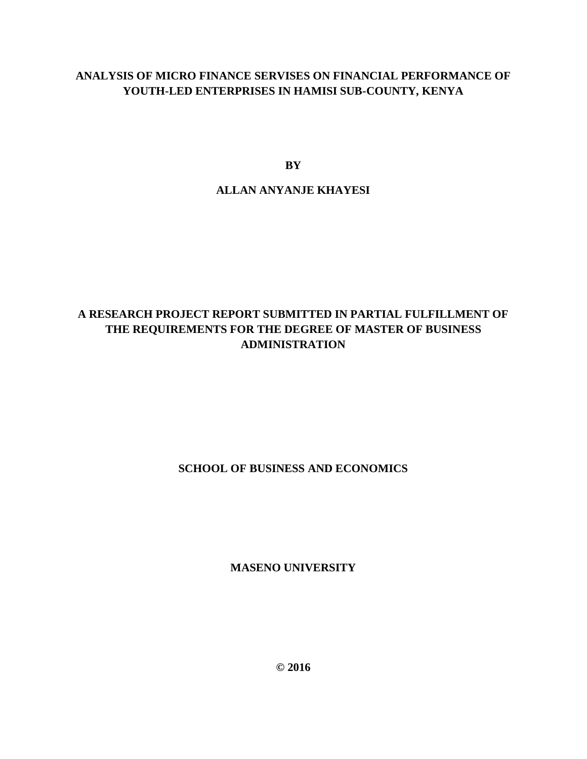# **ANALYSIS OF MICRO FINANCE SERVISES ON FINANCIAL PERFORMANCE OF YOUTH-LED ENTERPRISES IN HAMISI SUB-COUNTY, KENYA**

**BY**

# **ALLAN ANYANJE KHAYESI**

# **A RESEARCH PROJECT REPORT SUBMITTED IN PARTIAL FULFILLMENT OF THE REQUIREMENTS FOR THE DEGREE OF MASTER OF BUSINESS ADMINISTRATION**

# **SCHOOL OF BUSINESS AND ECONOMICS**

**MASENO UNIVERSITY**

**© 2016**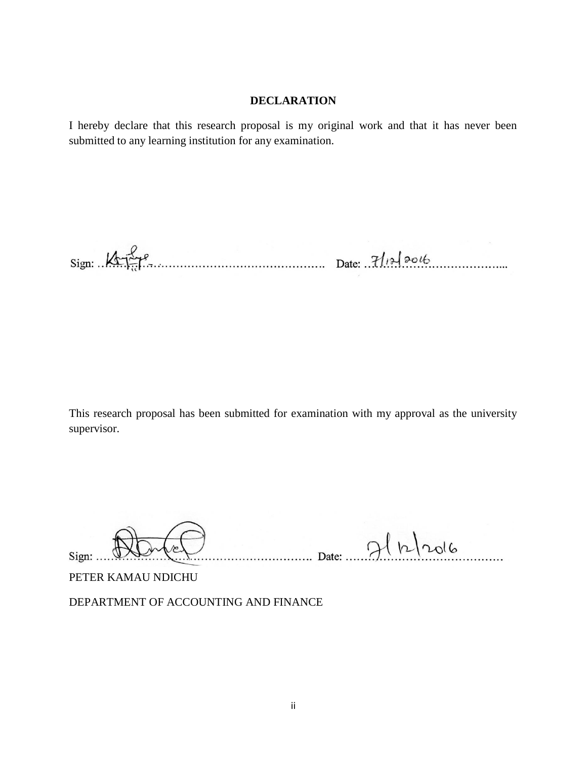#### **DECLARATION**

I hereby declare that this research proposal is my original work and that it has never been submitted to any learning institution for any examination.

 $Sign: \mathcal{A}$ 

This research proposal has been submitted for examination with my approval as the university supervisor.

Date: 9/12/2016  $Sign: \ldots$ PETER KAMAU NDICHU

DEPARTMENT OF ACCOUNTING AND FINANCE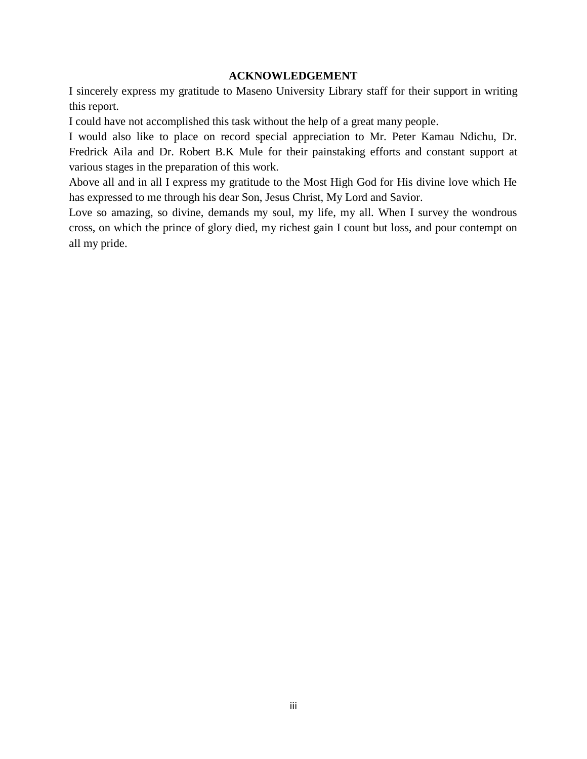#### **ACKNOWLEDGEMENT**

I sincerely express my gratitude to Maseno University Library staff for their support in writing this report.

I could have not accomplished this task without the help of a great many people.

I would also like to place on record special appreciation to Mr. Peter Kamau Ndichu, Dr. Fredrick Aila and Dr. Robert B.K Mule for their painstaking efforts and constant support at various stages in the preparation of this work.

Above all and in all I express my gratitude to the Most High God for His divine love which He has expressed to me through his dear Son, Jesus Christ, My Lord and Savior.

Love so amazing, so divine, demands my soul, my life, my all. When I survey the wondrous cross, on which the prince of glory died, my richest gain I count but loss, and pour contempt on all my pride.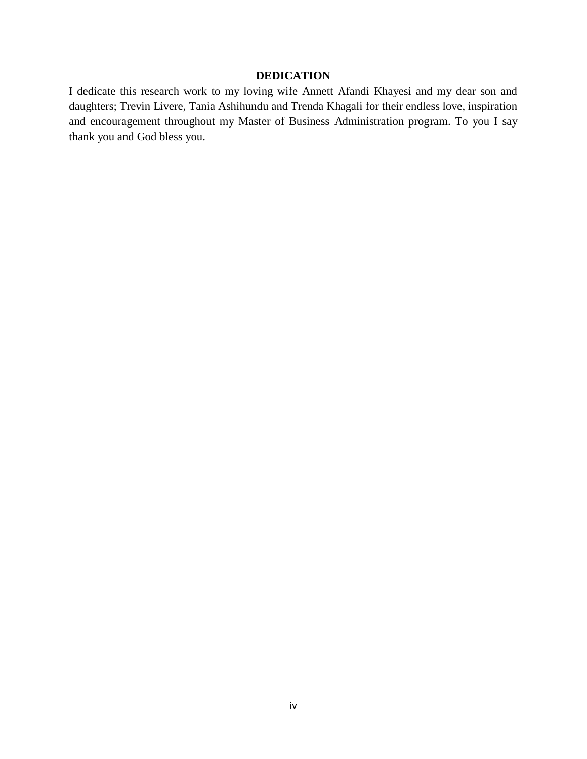## **DEDICATION**

I dedicate this research work to my loving wife Annett Afandi Khayesi and my dear son and daughters; Trevin Livere, Tania Ashihundu and Trenda Khagali for their endless love, inspiration and encouragement throughout my Master of Business Administration program. To you I say thank you and God bless you.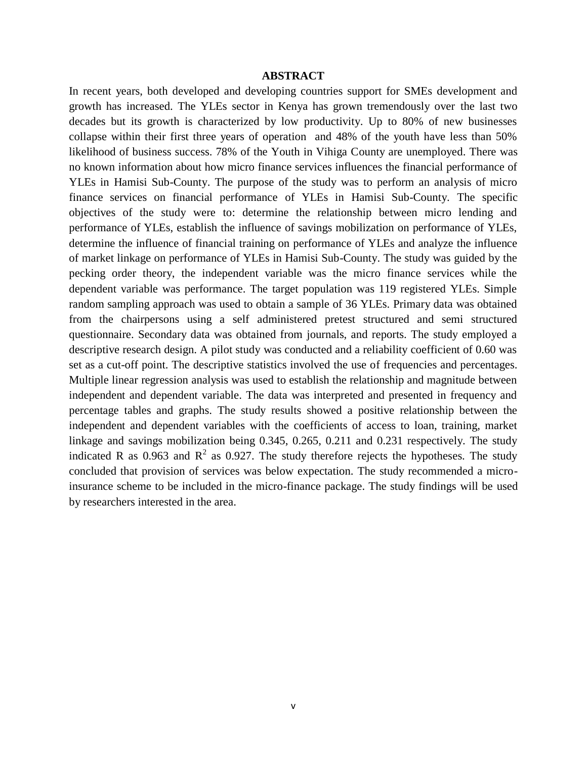#### **ABSTRACT**

In recent years, both developed and developing countries support for SMEs development and growth has increased. The YLEs sector in Kenya has grown tremendously over the last two decades but its growth is characterized by low productivity. Up to 80% of new businesses collapse within their first three years of operation and 48% of the youth have less than 50% likelihood of business success. 78% of the Youth in Vihiga County are unemployed. There was no known information about how micro finance services influences the financial performance of YLEs in Hamisi Sub-County. The purpose of the study was to perform an analysis of micro finance services on financial performance of YLEs in Hamisi Sub-County. The specific objectives of the study were to: determine the relationship between micro lending and performance of YLEs, establish the influence of savings mobilization on performance of YLEs, determine the influence of financial training on performance of YLEs and analyze the influence of market linkage on performance of YLEs in Hamisi Sub-County. The study was guided by the pecking order theory, the independent variable was the micro finance services while the dependent variable was performance. The target population was 119 registered YLEs. Simple random sampling approach was used to obtain a sample of 36 YLEs. Primary data was obtained from the chairpersons using a self administered pretest structured and semi structured questionnaire. Secondary data was obtained from journals, and reports. The study employed a descriptive research design. A pilot study was conducted and a reliability coefficient of 0.60 was set as a cut-off point. The descriptive statistics involved the use of frequencies and percentages. Multiple linear regression analysis was used to establish the relationship and magnitude between independent and dependent variable. The data was interpreted and presented in frequency and percentage tables and graphs. The study results showed a positive relationship between the independent and dependent variables with the coefficients of access to loan, training, market linkage and savings mobilization being 0.345, 0.265, 0.211 and 0.231 respectively. The study indicated R as 0.963 and  $R^2$  as 0.927. The study therefore rejects the hypotheses. The study concluded that provision of services was below expectation. The study recommended a microinsurance scheme to be included in the micro-finance package. The study findings will be used by researchers interested in the area.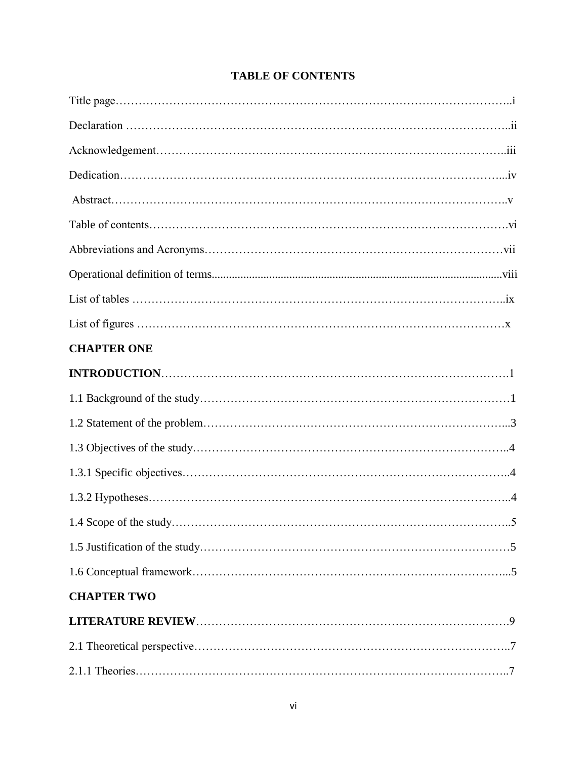| <b>CHAPTER ONE</b> |  |
|--------------------|--|
|                    |  |
|                    |  |
|                    |  |
|                    |  |
|                    |  |
|                    |  |
|                    |  |
|                    |  |
|                    |  |
| <b>CHAPTER TWO</b> |  |
|                    |  |
|                    |  |
|                    |  |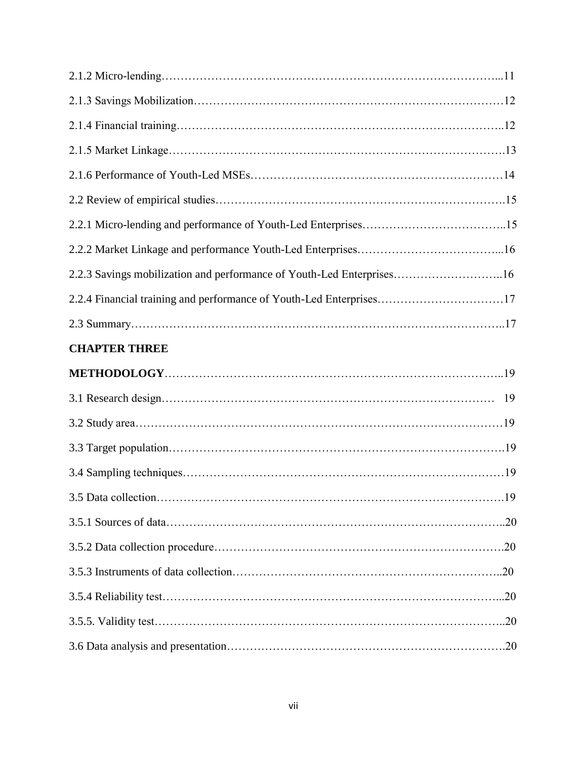| 2.2.3 Savings mobilization and performance of Youth-Led Enterprises16 |  |
|-----------------------------------------------------------------------|--|
| 2.2.4 Financial training and performance of Youth-Led Enterprises17   |  |
|                                                                       |  |
| <b>CHAPTER THREE</b>                                                  |  |
|                                                                       |  |
|                                                                       |  |
|                                                                       |  |
|                                                                       |  |
|                                                                       |  |
|                                                                       |  |
|                                                                       |  |
|                                                                       |  |
|                                                                       |  |
|                                                                       |  |
|                                                                       |  |
|                                                                       |  |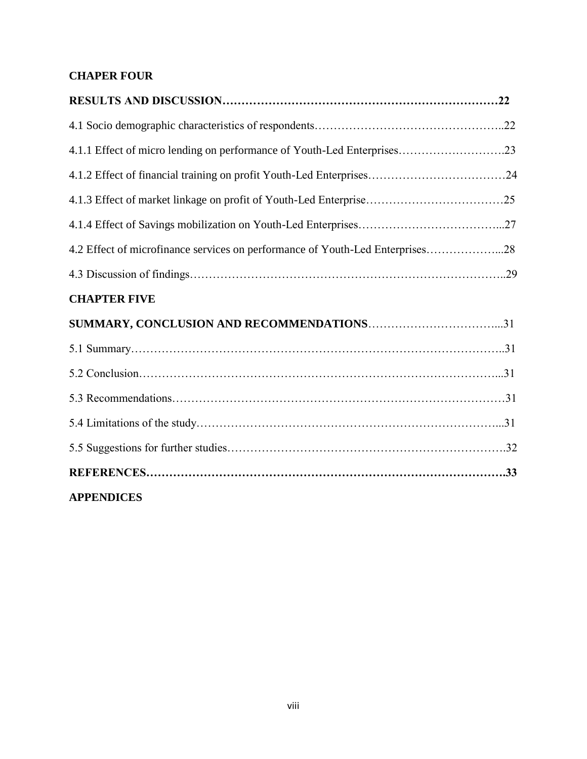# **CHAPER FOUR**

| 4.1.1 Effect of micro lending on performance of Youth-Led Enterprises23       |  |
|-------------------------------------------------------------------------------|--|
| 4.1.2 Effect of financial training on profit Youth-Led Enterprises24          |  |
|                                                                               |  |
|                                                                               |  |
| 4.2 Effect of microfinance services on performance of Youth-Led Enterprises28 |  |
|                                                                               |  |
| <b>CHAPTER FIVE</b>                                                           |  |
|                                                                               |  |
|                                                                               |  |
|                                                                               |  |
|                                                                               |  |
|                                                                               |  |
|                                                                               |  |
|                                                                               |  |
| <b>APPENDICES</b>                                                             |  |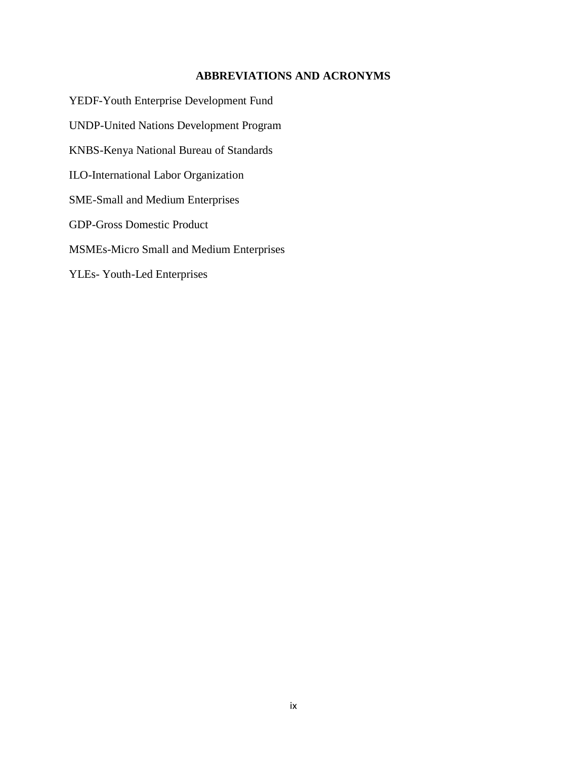#### **ABBREVIATIONS AND ACRONYMS**

YEDF-Youth Enterprise Development Fund UNDP-United Nations Development Program KNBS-Kenya National Bureau of Standards ILO-International Labor Organization SME-Small and Medium Enterprises GDP-Gross Domestic Product MSMEs-Micro Small and Medium Enterprises YLEs- Youth-Led Enterprises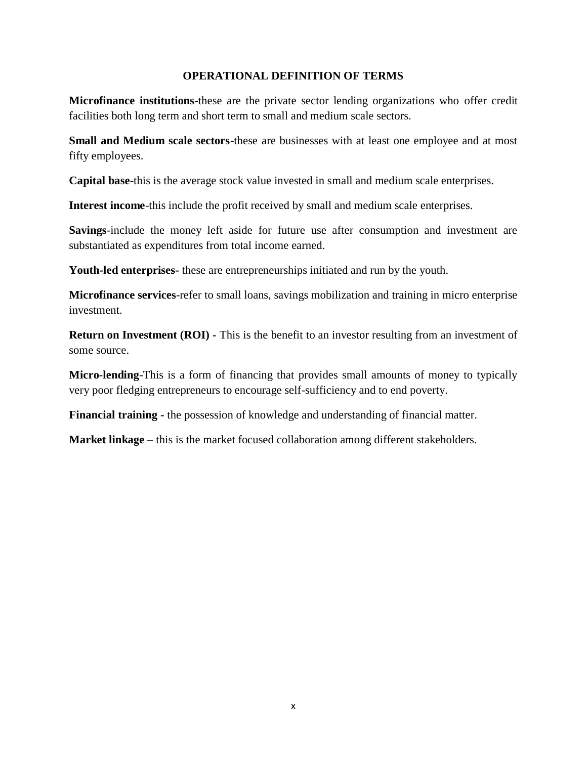#### **OPERATIONAL DEFINITION OF TERMS**

**Microfinance institutions**-these are the private sector lending organizations who offer credit facilities both long term and short term to small and medium scale sectors.

**Small and Medium scale sectors**-these are businesses with at least one employee and at most fifty employees.

**Capital base**-this is the average stock value invested in small and medium scale enterprises.

**Interest income**-this include the profit received by small and medium scale enterprises.

**Savings**-include the money left aside for future use after consumption and investment are substantiated as expenditures from total income earned.

**Youth-led enterprises-** these are entrepreneurships initiated and run by the youth.

**Microfinance services**-refer to small loans, savings mobilization and training in micro enterprise investment.

**Return on Investment (ROI)** - This is the benefit to an investor resulting from an investment of some source.

**Micro-lending**-This is a form of financing that provides small amounts of money to typically very poor fledging entrepreneurs to encourage self-sufficiency and to end poverty.

**Financial training -** the possession of knowledge and understanding of financial matter.

**Market linkage** – this is the market focused collaboration among different stakeholders.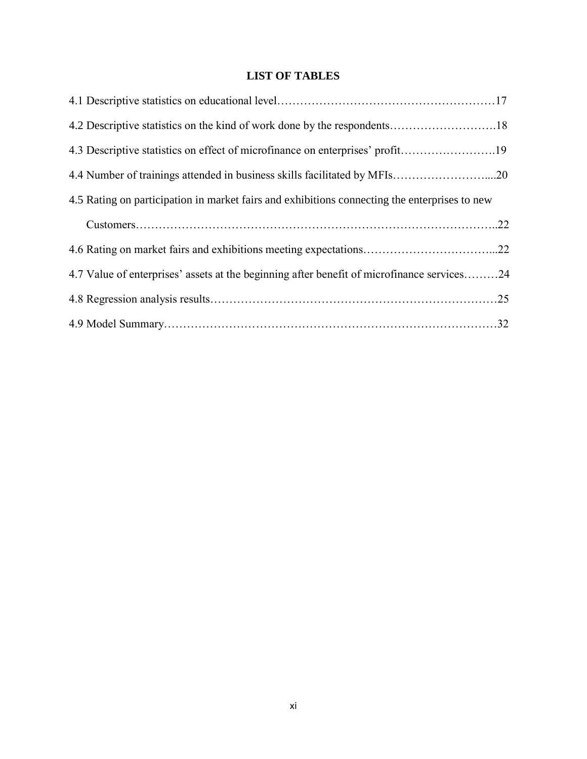# **LIST OF TABLES**

| 4.2 Descriptive statistics on the kind of work done by the respondents18                      |  |
|-----------------------------------------------------------------------------------------------|--|
| 4.3 Descriptive statistics on effect of microfinance on enterprises' profit19                 |  |
|                                                                                               |  |
| 4.5 Rating on participation in market fairs and exhibitions connecting the enterprises to new |  |
|                                                                                               |  |
| 4.6 Rating on market fairs and exhibitions meeting expectations22                             |  |
| 4.7 Value of enterprises' assets at the beginning after benefit of microfinance services24    |  |
|                                                                                               |  |
|                                                                                               |  |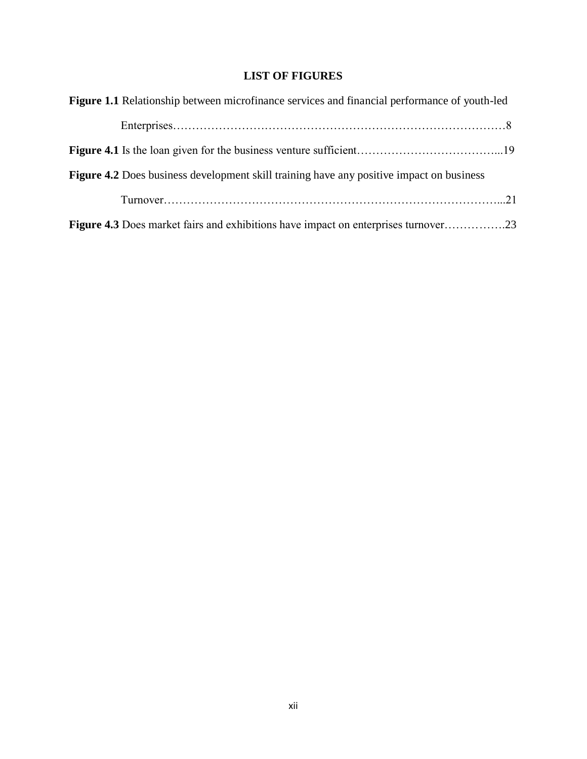# **LIST OF FIGURES**

| Figure 1.1 Relationship between microfinance services and financial performance of youth-led    |  |
|-------------------------------------------------------------------------------------------------|--|
|                                                                                                 |  |
|                                                                                                 |  |
| <b>Figure 4.2</b> Does business development skill training have any positive impact on business |  |
|                                                                                                 |  |
| Figure 4.3 Does market fairs and exhibitions have impact on enterprises turnover23              |  |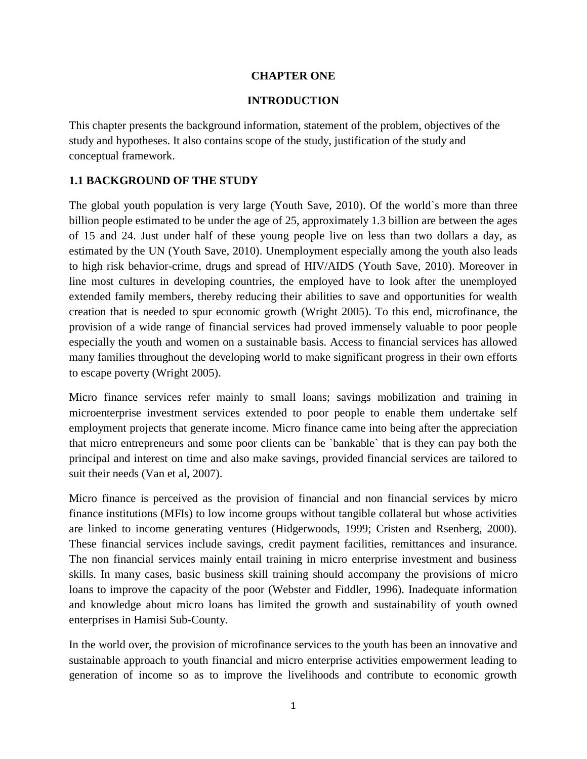#### **CHAPTER ONE**

## **INTRODUCTION**

This chapter presents the background information, statement of the problem, objectives of the study and hypotheses. It also contains scope of the study, justification of the study and conceptual framework.

## **1.1 BACKGROUND OF THE STUDY**

The global youth population is very large (Youth Save, 2010). Of the world`s more than three billion people estimated to be under the age of 25, approximately 1.3 billion are between the ages of 15 and 24. Just under half of these young people live on less than two dollars a day, as estimated by the UN (Youth Save, 2010). Unemployment especially among the youth also leads to high risk behavior-crime, drugs and spread of HIV/AIDS (Youth Save, 2010). Moreover in line most cultures in developing countries, the employed have to look after the unemployed extended family members, thereby reducing their abilities to save and opportunities for wealth creation that is needed to spur economic growth (Wright 2005). To this end, microfinance, the provision of a wide range of financial services had proved immensely valuable to poor people especially the youth and women on a sustainable basis. Access to financial services has allowed many families throughout the developing world to make significant progress in their own efforts to escape poverty (Wright 2005).

Micro finance services refer mainly to small loans; savings mobilization and training in microenterprise investment services extended to poor people to enable them undertake self employment projects that generate income. Micro finance came into being after the appreciation that micro entrepreneurs and some poor clients can be `bankable` that is they can pay both the principal and interest on time and also make savings, provided financial services are tailored to suit their needs (Van et al, 2007).

Micro finance is perceived as the provision of financial and non financial services by micro finance institutions (MFIs) to low income groups without tangible collateral but whose activities are linked to income generating ventures (Hidgerwoods, 1999; Cristen and Rsenberg, 2000). These financial services include savings, credit payment facilities, remittances and insurance. The non financial services mainly entail training in micro enterprise investment and business skills. In many cases, basic business skill training should accompany the provisions of micro loans to improve the capacity of the poor (Webster and Fiddler, 1996). Inadequate information and knowledge about micro loans has limited the growth and sustainability of youth owned enterprises in Hamisi Sub-County.

In the world over, the provision of microfinance services to the youth has been an innovative and sustainable approach to youth financial and micro enterprise activities empowerment leading to generation of income so as to improve the livelihoods and contribute to economic growth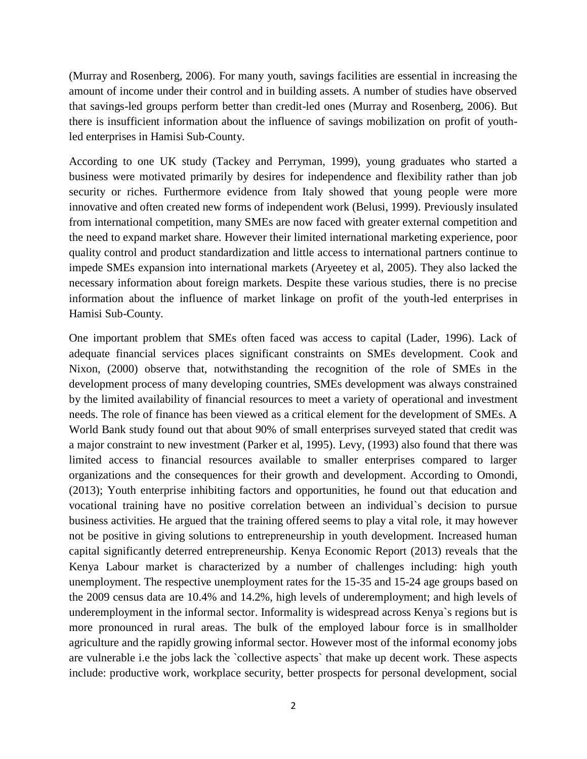(Murray and Rosenberg, 2006). For many youth, savings facilities are essential in increasing the amount of income under their control and in building assets. A number of studies have observed that savings-led groups perform better than credit-led ones (Murray and Rosenberg, 2006). But there is insufficient information about the influence of savings mobilization on profit of youthled enterprises in Hamisi Sub-County.

According to one UK study (Tackey and Perryman, 1999), young graduates who started a business were motivated primarily by desires for independence and flexibility rather than job security or riches. Furthermore evidence from Italy showed that young people were more innovative and often created new forms of independent work (Belusi, 1999). Previously insulated from international competition, many SMEs are now faced with greater external competition and the need to expand market share. However their limited international marketing experience, poor quality control and product standardization and little access to international partners continue to impede SMEs expansion into international markets (Aryeetey et al, 2005). They also lacked the necessary information about foreign markets. Despite these various studies, there is no precise information about the influence of market linkage on profit of the youth-led enterprises in Hamisi Sub-County.

One important problem that SMEs often faced was access to capital (Lader, 1996). Lack of adequate financial services places significant constraints on SMEs development. Cook and Nixon, (2000) observe that, notwithstanding the recognition of the role of SMEs in the development process of many developing countries, SMEs development was always constrained by the limited availability of financial resources to meet a variety of operational and investment needs. The role of finance has been viewed as a critical element for the development of SMEs. A World Bank study found out that about 90% of small enterprises surveyed stated that credit was a major constraint to new investment (Parker et al, 1995). Levy, (1993) also found that there was limited access to financial resources available to smaller enterprises compared to larger organizations and the consequences for their growth and development. According to Omondi, (2013); Youth enterprise inhibiting factors and opportunities, he found out that education and vocational training have no positive correlation between an individual`s decision to pursue business activities. He argued that the training offered seems to play a vital role, it may however not be positive in giving solutions to entrepreneurship in youth development. Increased human capital significantly deterred entrepreneurship. Kenya Economic Report (2013) reveals that the Kenya Labour market is characterized by a number of challenges including: high youth unemployment. The respective unemployment rates for the 15-35 and 15-24 age groups based on the 2009 census data are 10.4% and 14.2%, high levels of underemployment; and high levels of underemployment in the informal sector. Informality is widespread across Kenya`s regions but is more pronounced in rural areas. The bulk of the employed labour force is in smallholder agriculture and the rapidly growing informal sector. However most of the informal economy jobs are vulnerable i.e the jobs lack the `collective aspects` that make up decent work. These aspects include: productive work, workplace security, better prospects for personal development, social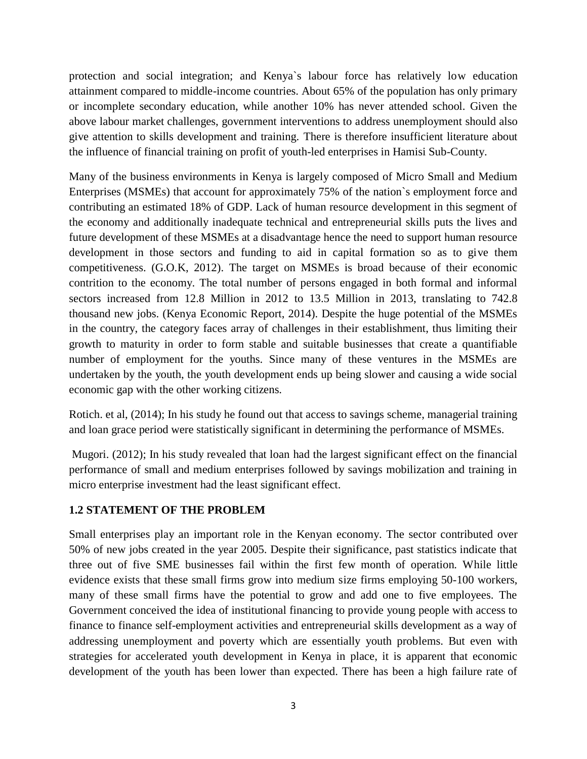protection and social integration; and Kenya`s labour force has relatively low education attainment compared to middle-income countries. About 65% of the population has only primary or incomplete secondary education, while another 10% has never attended school. Given the above labour market challenges, government interventions to address unemployment should also give attention to skills development and training. There is therefore insufficient literature about the influence of financial training on profit of youth-led enterprises in Hamisi Sub-County.

Many of the business environments in Kenya is largely composed of Micro Small and Medium Enterprises (MSMEs) that account for approximately 75% of the nation`s employment force and contributing an estimated 18% of GDP. Lack of human resource development in this segment of the economy and additionally inadequate technical and entrepreneurial skills puts the lives and future development of these MSMEs at a disadvantage hence the need to support human resource development in those sectors and funding to aid in capital formation so as to give them competitiveness. (G.O.K, 2012). The target on MSMEs is broad because of their economic contrition to the economy. The total number of persons engaged in both formal and informal sectors increased from 12.8 Million in 2012 to 13.5 Million in 2013, translating to 742.8 thousand new jobs. (Kenya Economic Report, 2014). Despite the huge potential of the MSMEs in the country, the category faces array of challenges in their establishment, thus limiting their growth to maturity in order to form stable and suitable businesses that create a quantifiable number of employment for the youths. Since many of these ventures in the MSMEs are undertaken by the youth, the youth development ends up being slower and causing a wide social economic gap with the other working citizens.

Rotich. et al, (2014); In his study he found out that access to savings scheme, managerial training and loan grace period were statistically significant in determining the performance of MSMEs.

Mugori. (2012); In his study revealed that loan had the largest significant effect on the financial performance of small and medium enterprises followed by savings mobilization and training in micro enterprise investment had the least significant effect.

#### **1.2 STATEMENT OF THE PROBLEM**

Small enterprises play an important role in the Kenyan economy. The sector contributed over 50% of new jobs created in the year 2005. Despite their significance, past statistics indicate that three out of five SME businesses fail within the first few month of operation. While little evidence exists that these small firms grow into medium size firms employing 50-100 workers, many of these small firms have the potential to grow and add one to five employees. The Government conceived the idea of institutional financing to provide young people with access to finance to finance self-employment activities and entrepreneurial skills development as a way of addressing unemployment and poverty which are essentially youth problems. But even with strategies for accelerated youth development in Kenya in place, it is apparent that economic development of the youth has been lower than expected. There has been a high failure rate of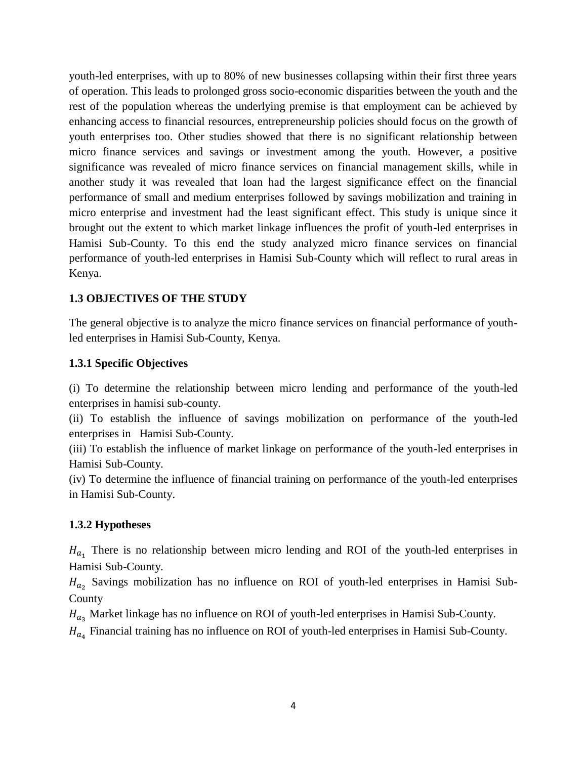youth-led enterprises, with up to 80% of new businesses collapsing within their first three years of operation. This leads to prolonged gross socio-economic disparities between the youth and the rest of the population whereas the underlying premise is that employment can be achieved by enhancing access to financial resources, entrepreneurship policies should focus on the growth of youth enterprises too. Other studies showed that there is no significant relationship between micro finance services and savings or investment among the youth. However, a positive significance was revealed of micro finance services on financial management skills, while in another study it was revealed that loan had the largest significance effect on the financial performance of small and medium enterprises followed by savings mobilization and training in micro enterprise and investment had the least significant effect. This study is unique since it brought out the extent to which market linkage influences the profit of youth-led enterprises in Hamisi Sub-County. To this end the study analyzed micro finance services on financial performance of youth-led enterprises in Hamisi Sub-County which will reflect to rural areas in Kenya.

## **1.3 OBJECTIVES OF THE STUDY**

The general objective is to analyze the micro finance services on financial performance of youthled enterprises in Hamisi Sub-County, Kenya.

# **1.3.1 Specific Objectives**

(i) To determine the relationship between micro lending and performance of the youth-led enterprises in hamisi sub-county.

(ii) To establish the influence of savings mobilization on performance of the youth-led enterprises in Hamisi Sub-County.

(iii) To establish the influence of market linkage on performance of the youth-led enterprises in Hamisi Sub-County.

(iv) To determine the influence of financial training on performance of the youth-led enterprises in Hamisi Sub-County.

## **1.3.2 Hypotheses**

 $H_{a}$ . There is no relationship between micro lending and ROI of the youth-led enterprises in Hamisi Sub-County.

 $H_{a}$ , Savings mobilization has no influence on ROI of youth-led enterprises in Hamisi Sub-County

 $H_{a_2}$  Market linkage has no influence on ROI of youth-led enterprises in Hamisi Sub-County.

 $H_{a}$  Financial training has no influence on ROI of youth-led enterprises in Hamisi Sub-County.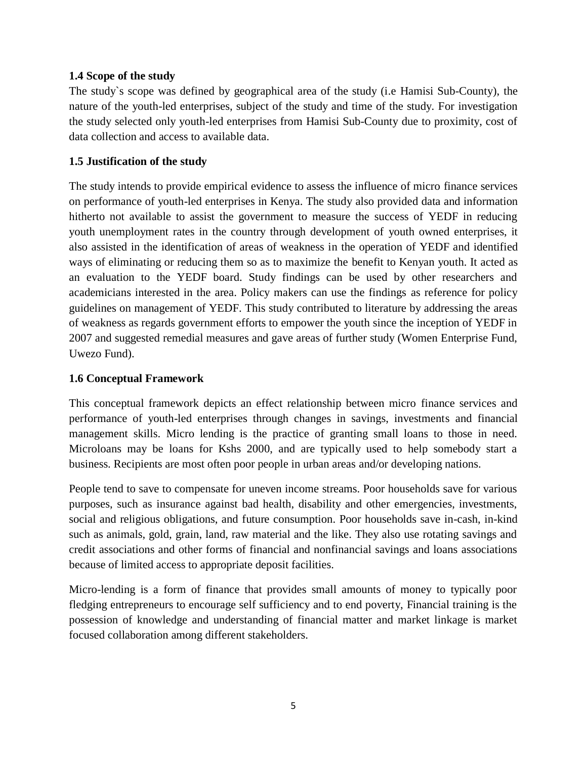## **1.4 Scope of the study**

The study`s scope was defined by geographical area of the study (i.e Hamisi Sub-County), the nature of the youth-led enterprises, subject of the study and time of the study. For investigation the study selected only youth-led enterprises from Hamisi Sub-County due to proximity, cost of data collection and access to available data.

## **1.5 Justification of the study**

The study intends to provide empirical evidence to assess the influence of micro finance services on performance of youth-led enterprises in Kenya. The study also provided data and information hitherto not available to assist the government to measure the success of YEDF in reducing youth unemployment rates in the country through development of youth owned enterprises, it also assisted in the identification of areas of weakness in the operation of YEDF and identified ways of eliminating or reducing them so as to maximize the benefit to Kenyan youth. It acted as an evaluation to the YEDF board. Study findings can be used by other researchers and academicians interested in the area. Policy makers can use the findings as reference for policy guidelines on management of YEDF. This study contributed to literature by addressing the areas of weakness as regards government efforts to empower the youth since the inception of YEDF in 2007 and suggested remedial measures and gave areas of further study (Women Enterprise Fund, Uwezo Fund).

#### **1.6 Conceptual Framework**

This conceptual framework depicts an effect relationship between micro finance services and performance of youth-led enterprises through changes in savings, investments and financial management skills. Micro lending is the practice of granting small loans to those in need. Microloans may be loans for Kshs 2000, and are typically used to help somebody start a business. Recipients are most often poor people in urban areas and/or developing nations.

People tend to save to compensate for uneven income streams. Poor households save for various purposes, such as insurance against bad health, disability and other emergencies, investments, social and religious obligations, and future consumption. Poor households save in-cash, in-kind such as animals, gold, grain, land, raw material and the like. They also use rotating savings and credit associations and other forms of financial and nonfinancial savings and loans associations because of limited access to appropriate deposit facilities.

Micro-lending is a form of finance that provides small amounts of money to typically poor fledging entrepreneurs to encourage self sufficiency and to end poverty, Financial training is the possession of knowledge and understanding of financial matter and market linkage is market focused collaboration among different stakeholders.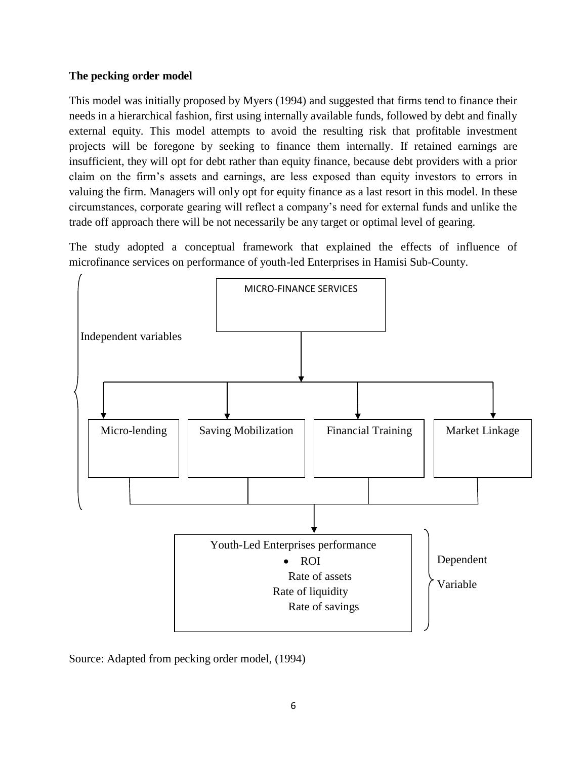## **The pecking order model**

This model was initially proposed by Myers (1994) and suggested that firms tend to finance their needs in a hierarchical fashion, first using internally available funds, followed by debt and finally external equity. This model attempts to avoid the resulting risk that profitable investment projects will be foregone by seeking to finance them internally. If retained earnings are insufficient, they will opt for debt rather than equity finance, because debt providers with a prior claim on the firm's assets and earnings, are less exposed than equity investors to errors in valuing the firm. Managers will only opt for equity finance as a last resort in this model. In these circumstances, corporate gearing will reflect a company's need for external funds and unlike the trade off approach there will be not necessarily be any target or optimal level of gearing.

The study adopted a conceptual framework that explained the effects of influence of microfinance services on performance of youth-led Enterprises in Hamisi Sub-County.



Source: Adapted from pecking order model, (1994)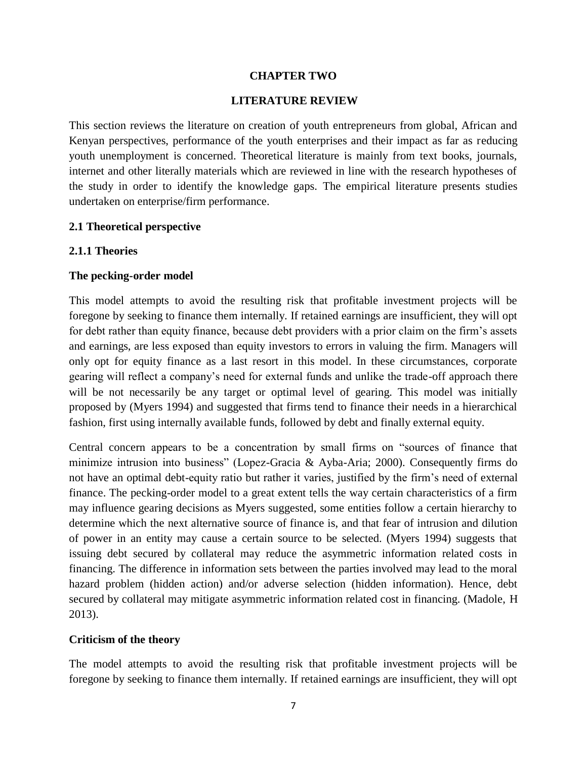#### **CHAPTER TWO**

#### **LITERATURE REVIEW**

This section reviews the literature on creation of youth entrepreneurs from global, African and Kenyan perspectives, performance of the youth enterprises and their impact as far as reducing youth unemployment is concerned. Theoretical literature is mainly from text books, journals, internet and other literally materials which are reviewed in line with the research hypotheses of the study in order to identify the knowledge gaps. The empirical literature presents studies undertaken on enterprise/firm performance.

#### **2.1 Theoretical perspective**

#### **2.1.1 Theories**

#### **The pecking-order model**

This model attempts to avoid the resulting risk that profitable investment projects will be foregone by seeking to finance them internally. If retained earnings are insufficient, they will opt for debt rather than equity finance, because debt providers with a prior claim on the firm's assets and earnings, are less exposed than equity investors to errors in valuing the firm. Managers will only opt for equity finance as a last resort in this model. In these circumstances, corporate gearing will reflect a company's need for external funds and unlike the trade-off approach there will be not necessarily be any target or optimal level of gearing. This model was initially proposed by (Myers 1994) and suggested that firms tend to finance their needs in a hierarchical fashion, first using internally available funds, followed by debt and finally external equity.

Central concern appears to be a concentration by small firms on "sources of finance that minimize intrusion into business" (Lopez-Gracia & Ayba-Aria; 2000). Consequently firms do not have an optimal debt-equity ratio but rather it varies, justified by the firm's need of external finance. The pecking-order model to a great extent tells the way certain characteristics of a firm may influence gearing decisions as Myers suggested, some entities follow a certain hierarchy to determine which the next alternative source of finance is, and that fear of intrusion and dilution of power in an entity may cause a certain source to be selected. (Myers 1994) suggests that issuing debt secured by collateral may reduce the asymmetric information related costs in financing. The difference in information sets between the parties involved may lead to the moral hazard problem (hidden action) and/or adverse selection (hidden information). Hence, debt secured by collateral may mitigate asymmetric information related cost in financing. (Madole, H 2013).

#### **Criticism of the theory**

The model attempts to avoid the resulting risk that profitable investment projects will be foregone by seeking to finance them internally. If retained earnings are insufficient, they will opt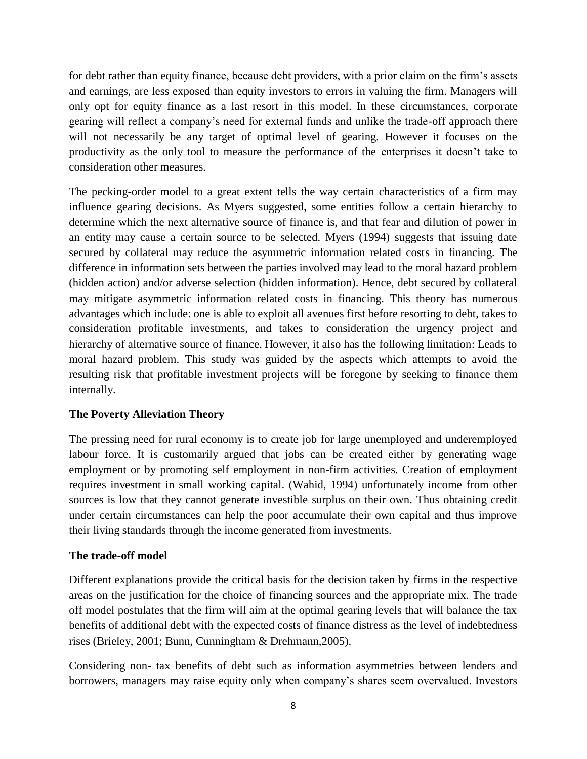for debt rather than equity finance, because debt providers, with a prior claim on the firm's assets and earnings, are less exposed than equity investors to errors in valuing the firm. Managers will only opt for equity finance as a last resort in this model. In these circumstances, corporate gearing will reflect a company's need for external funds and unlike the trade-off approach there will not necessarily be any target of optimal level of gearing. However it focuses on the productivity as the only tool to measure the performance of the enterprises it doesn't take to consideration other measures.

The pecking-order model to a great extent tells the way certain characteristics of a firm may influence gearing decisions. As Myers suggested, some entities follow a certain hierarchy to determine which the next alternative source of finance is, and that fear and dilution of power in an entity may cause a certain source to be selected. Myers (1994) suggests that issuing date secured by collateral may reduce the asymmetric information related costs in financing. The difference in information sets between the parties involved may lead to the moral hazard problem (hidden action) and/or adverse selection (hidden information). Hence, debt secured by collateral may mitigate asymmetric information related costs in financing. This theory has numerous advantages which include: one is able to exploit all avenues first before resorting to debt, takes to consideration profitable investments, and takes to consideration the urgency project and hierarchy of alternative source of finance. However, it also has the following limitation: Leads to moral hazard problem. This study was guided by the aspects which attempts to avoid the resulting risk that profitable investment projects will be foregone by seeking to finance them internally.

## **The Poverty Alleviation Theory**

The pressing need for rural economy is to create job for large unemployed and underemployed labour force. It is customarily argued that jobs can be created either by generating wage employment or by promoting self employment in non-firm activities. Creation of employment requires investment in small working capital. (Wahid, 1994) unfortunately income from other sources is low that they cannot generate investible surplus on their own. Thus obtaining credit under certain circumstances can help the poor accumulate their own capital and thus improve their living standards through the income generated from investments.

## **The trade-off model**

Different explanations provide the critical basis for the decision taken by firms in the respective areas on the justification for the choice of financing sources and the appropriate mix. The trade off model postulates that the firm will aim at the optimal gearing levels that will balance the tax benefits of additional debt with the expected costs of finance distress as the level of indebtedness rises (Brieley, 2001; Bunn, Cunningham & Drehmann,2005).

Considering non- tax benefits of debt such as information asymmetries between lenders and borrowers, managers may raise equity only when company's shares seem overvalued. Investors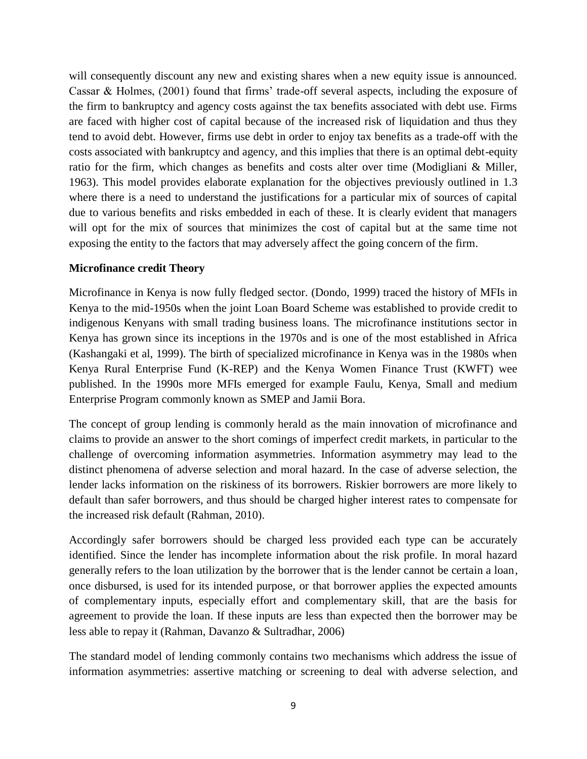will consequently discount any new and existing shares when a new equity issue is announced. Cassar & Holmes, (2001) found that firms' trade-off several aspects, including the exposure of the firm to bankruptcy and agency costs against the tax benefits associated with debt use. Firms are faced with higher cost of capital because of the increased risk of liquidation and thus they tend to avoid debt. However, firms use debt in order to enjoy tax benefits as a trade-off with the costs associated with bankruptcy and agency, and this implies that there is an optimal debt-equity ratio for the firm, which changes as benefits and costs alter over time (Modigliani & Miller, 1963). This model provides elaborate explanation for the objectives previously outlined in 1.3 where there is a need to understand the justifications for a particular mix of sources of capital due to various benefits and risks embedded in each of these. It is clearly evident that managers will opt for the mix of sources that minimizes the cost of capital but at the same time not exposing the entity to the factors that may adversely affect the going concern of the firm.

#### **Microfinance credit Theory**

Microfinance in Kenya is now fully fledged sector. (Dondo, 1999) traced the history of MFIs in Kenya to the mid-1950s when the joint Loan Board Scheme was established to provide credit to indigenous Kenyans with small trading business loans. The microfinance institutions sector in Kenya has grown since its inceptions in the 1970s and is one of the most established in Africa (Kashangaki et al, 1999). The birth of specialized microfinance in Kenya was in the 1980s when Kenya Rural Enterprise Fund (K-REP) and the Kenya Women Finance Trust (KWFT) wee published. In the 1990s more MFIs emerged for example Faulu, Kenya, Small and medium Enterprise Program commonly known as SMEP and Jamii Bora.

The concept of group lending is commonly herald as the main innovation of microfinance and claims to provide an answer to the short comings of imperfect credit markets, in particular to the challenge of overcoming information asymmetries. Information asymmetry may lead to the distinct phenomena of adverse selection and moral hazard. In the case of adverse selection, the lender lacks information on the riskiness of its borrowers. Riskier borrowers are more likely to default than safer borrowers, and thus should be charged higher interest rates to compensate for the increased risk default (Rahman, 2010).

Accordingly safer borrowers should be charged less provided each type can be accurately identified. Since the lender has incomplete information about the risk profile. In moral hazard generally refers to the loan utilization by the borrower that is the lender cannot be certain a loan, once disbursed, is used for its intended purpose, or that borrower applies the expected amounts of complementary inputs, especially effort and complementary skill, that are the basis for agreement to provide the loan. If these inputs are less than expected then the borrower may be less able to repay it (Rahman, Davanzo & Sultradhar, 2006)

The standard model of lending commonly contains two mechanisms which address the issue of information asymmetries: assertive matching or screening to deal with adverse selection, and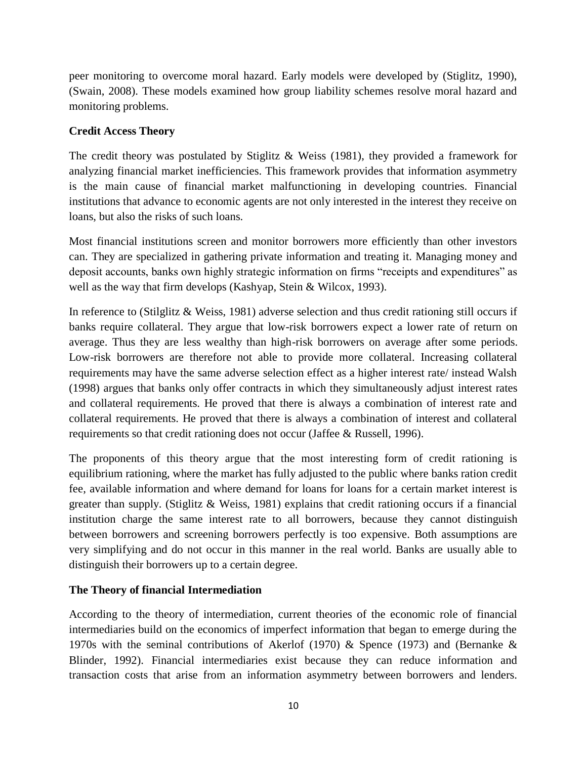peer monitoring to overcome moral hazard. Early models were developed by (Stiglitz, 1990), (Swain, 2008). These models examined how group liability schemes resolve moral hazard and monitoring problems.

# **Credit Access Theory**

The credit theory was postulated by Stiglitz & Weiss (1981), they provided a framework for analyzing financial market inefficiencies. This framework provides that information asymmetry is the main cause of financial market malfunctioning in developing countries. Financial institutions that advance to economic agents are not only interested in the interest they receive on loans, but also the risks of such loans.

Most financial institutions screen and monitor borrowers more efficiently than other investors can. They are specialized in gathering private information and treating it. Managing money and deposit accounts, banks own highly strategic information on firms "receipts and expenditures" as well as the way that firm develops (Kashyap, Stein & Wilcox, 1993).

In reference to (Stilglitz & Weiss, 1981) adverse selection and thus credit rationing still occurs if banks require collateral. They argue that low-risk borrowers expect a lower rate of return on average. Thus they are less wealthy than high-risk borrowers on average after some periods. Low-risk borrowers are therefore not able to provide more collateral. Increasing collateral requirements may have the same adverse selection effect as a higher interest rate/ instead Walsh (1998) argues that banks only offer contracts in which they simultaneously adjust interest rates and collateral requirements. He proved that there is always a combination of interest rate and collateral requirements. He proved that there is always a combination of interest and collateral requirements so that credit rationing does not occur (Jaffee & Russell, 1996).

The proponents of this theory argue that the most interesting form of credit rationing is equilibrium rationing, where the market has fully adjusted to the public where banks ration credit fee, available information and where demand for loans for loans for a certain market interest is greater than supply. (Stiglitz & Weiss, 1981) explains that credit rationing occurs if a financial institution charge the same interest rate to all borrowers, because they cannot distinguish between borrowers and screening borrowers perfectly is too expensive. Both assumptions are very simplifying and do not occur in this manner in the real world. Banks are usually able to distinguish their borrowers up to a certain degree.

# **The Theory of financial Intermediation**

According to the theory of intermediation, current theories of the economic role of financial intermediaries build on the economics of imperfect information that began to emerge during the 1970s with the seminal contributions of Akerlof (1970) & Spence (1973) and (Bernanke & Blinder, 1992). Financial intermediaries exist because they can reduce information and transaction costs that arise from an information asymmetry between borrowers and lenders.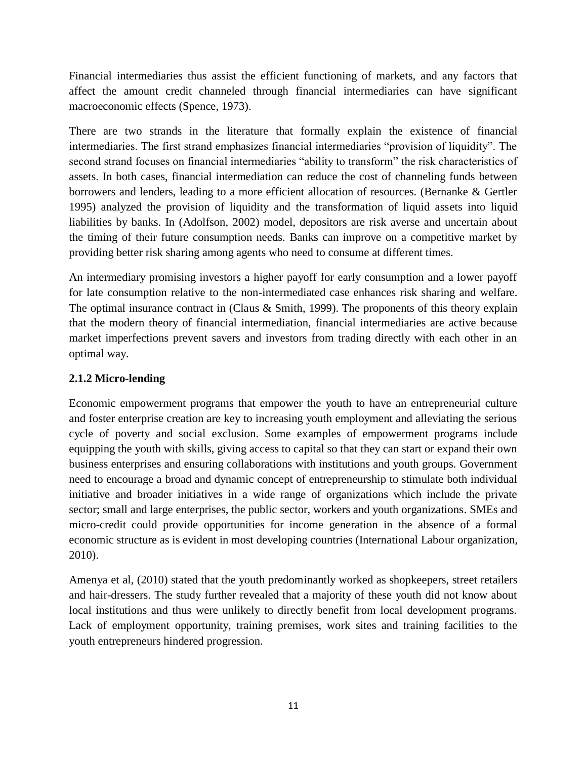Financial intermediaries thus assist the efficient functioning of markets, and any factors that affect the amount credit channeled through financial intermediaries can have significant macroeconomic effects (Spence, 1973).

There are two strands in the literature that formally explain the existence of financial intermediaries. The first strand emphasizes financial intermediaries "provision of liquidity". The second strand focuses on financial intermediaries "ability to transform" the risk characteristics of assets. In both cases, financial intermediation can reduce the cost of channeling funds between borrowers and lenders, leading to a more efficient allocation of resources. (Bernanke & Gertler 1995) analyzed the provision of liquidity and the transformation of liquid assets into liquid liabilities by banks. In (Adolfson, 2002) model, depositors are risk averse and uncertain about the timing of their future consumption needs. Banks can improve on a competitive market by providing better risk sharing among agents who need to consume at different times.

An intermediary promising investors a higher payoff for early consumption and a lower payoff for late consumption relative to the non-intermediated case enhances risk sharing and welfare. The optimal insurance contract in (Claus & Smith, 1999). The proponents of this theory explain that the modern theory of financial intermediation, financial intermediaries are active because market imperfections prevent savers and investors from trading directly with each other in an optimal way.

# **2.1.2 Micro-lending**

Economic empowerment programs that empower the youth to have an entrepreneurial culture and foster enterprise creation are key to increasing youth employment and alleviating the serious cycle of poverty and social exclusion. Some examples of empowerment programs include equipping the youth with skills, giving access to capital so that they can start or expand their own business enterprises and ensuring collaborations with institutions and youth groups. Government need to encourage a broad and dynamic concept of entrepreneurship to stimulate both individual initiative and broader initiatives in a wide range of organizations which include the private sector; small and large enterprises, the public sector, workers and youth organizations. SMEs and micro-credit could provide opportunities for income generation in the absence of a formal economic structure as is evident in most developing countries (International Labour organization, 2010).

Amenya et al, (2010) stated that the youth predominantly worked as shopkeepers, street retailers and hair-dressers. The study further revealed that a majority of these youth did not know about local institutions and thus were unlikely to directly benefit from local development programs. Lack of employment opportunity, training premises, work sites and training facilities to the youth entrepreneurs hindered progression.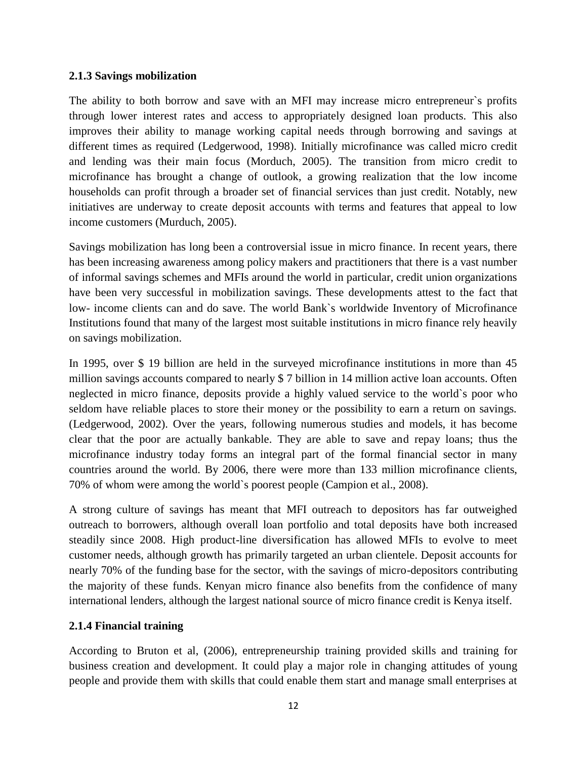#### **2.1.3 Savings mobilization**

The ability to both borrow and save with an MFI may increase micro entrepreneur`s profits through lower interest rates and access to appropriately designed loan products. This also improves their ability to manage working capital needs through borrowing and savings at different times as required (Ledgerwood, 1998). Initially microfinance was called micro credit and lending was their main focus (Morduch, 2005). The transition from micro credit to microfinance has brought a change of outlook, a growing realization that the low income households can profit through a broader set of financial services than just credit. Notably, new initiatives are underway to create deposit accounts with terms and features that appeal to low income customers (Murduch, 2005).

Savings mobilization has long been a controversial issue in micro finance. In recent years, there has been increasing awareness among policy makers and practitioners that there is a vast number of informal savings schemes and MFIs around the world in particular, credit union organizations have been very successful in mobilization savings. These developments attest to the fact that low- income clients can and do save. The world Bank`s worldwide Inventory of Microfinance Institutions found that many of the largest most suitable institutions in micro finance rely heavily on savings mobilization.

In 1995, over \$ 19 billion are held in the surveyed microfinance institutions in more than 45 million savings accounts compared to nearly \$ 7 billion in 14 million active loan accounts. Often neglected in micro finance, deposits provide a highly valued service to the world`s poor who seldom have reliable places to store their money or the possibility to earn a return on savings. (Ledgerwood, 2002). Over the years, following numerous studies and models, it has become clear that the poor are actually bankable. They are able to save and repay loans; thus the microfinance industry today forms an integral part of the formal financial sector in many countries around the world. By 2006, there were more than 133 million microfinance clients, 70% of whom were among the world`s poorest people (Campion et al., 2008).

A strong culture of savings has meant that MFI outreach to depositors has far outweighed outreach to borrowers, although overall loan portfolio and total deposits have both increased steadily since 2008. High product-line diversification has allowed MFIs to evolve to meet customer needs, although growth has primarily targeted an urban clientele. Deposit accounts for nearly 70% of the funding base for the sector, with the savings of micro-depositors contributing the majority of these funds. Kenyan micro finance also benefits from the confidence of many international lenders, although the largest national source of micro finance credit is Kenya itself.

## **2.1.4 Financial training**

According to Bruton et al, (2006), entrepreneurship training provided skills and training for business creation and development. It could play a major role in changing attitudes of young people and provide them with skills that could enable them start and manage small enterprises at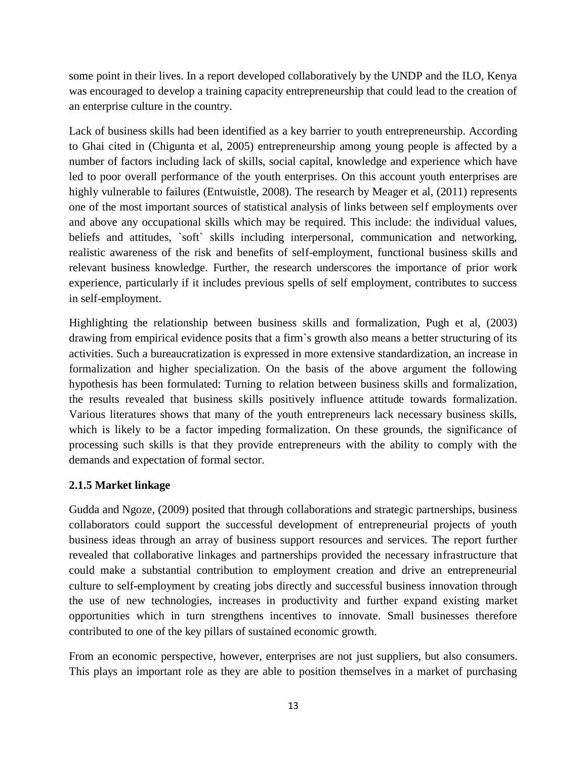some point in their lives. In a report developed collaboratively by the UNDP and the ILO, Kenya was encouraged to develop a training capacity entrepreneurship that could lead to the creation of an enterprise culture in the country.

Lack of business skills had been identified as a key barrier to youth entrepreneurship. According to Ghai cited in (Chigunta et al, 2005) entrepreneurship among young people is affected by a number of factors including lack of skills, social capital, knowledge and experience which have led to poor overall performance of the youth enterprises. On this account youth enterprises are highly vulnerable to failures (Entwuistle, 2008). The research by Meager et al, (2011) represents one of the most important sources of statistical analysis of links between self employments over and above any occupational skills which may be required. This include: the individual values, beliefs and attitudes, `soft` skills including interpersonal, communication and networking, realistic awareness of the risk and benefits of self-employment, functional business skills and relevant business knowledge. Further, the research underscores the importance of prior work experience, particularly if it includes previous spells of self employment, contributes to success in self-employment.

Highlighting the relationship between business skills and formalization, Pugh et al, (2003) drawing from empirical evidence posits that a firm`s growth also means a better structuring of its activities. Such a bureaucratization is expressed in more extensive standardization, an increase in formalization and higher specialization. On the basis of the above argument the following hypothesis has been formulated: Turning to relation between business skills and formalization, the results revealed that business skills positively influence attitude towards formalization. Various literatures shows that many of the youth entrepreneurs lack necessary business skills, which is likely to be a factor impeding formalization. On these grounds, the significance of processing such skills is that they provide entrepreneurs with the ability to comply with the demands and expectation of formal sector.

## **2.1.5 Market linkage**

Gudda and Ngoze, (2009) posited that through collaborations and strategic partnerships, business collaborators could support the successful development of entrepreneurial projects of youth business ideas through an array of business support resources and services. The report further revealed that collaborative linkages and partnerships provided the necessary infrastructure that could make a substantial contribution to employment creation and drive an entrepreneurial culture to self-employment by creating jobs directly and successful business innovation through the use of new technologies, increases in productivity and further expand existing market opportunities which in turn strengthens incentives to innovate. Small businesses therefore contributed to one of the key pillars of sustained economic growth.

From an economic perspective, however, enterprises are not just suppliers, but also consumers. This plays an important role as they are able to position themselves in a market of purchasing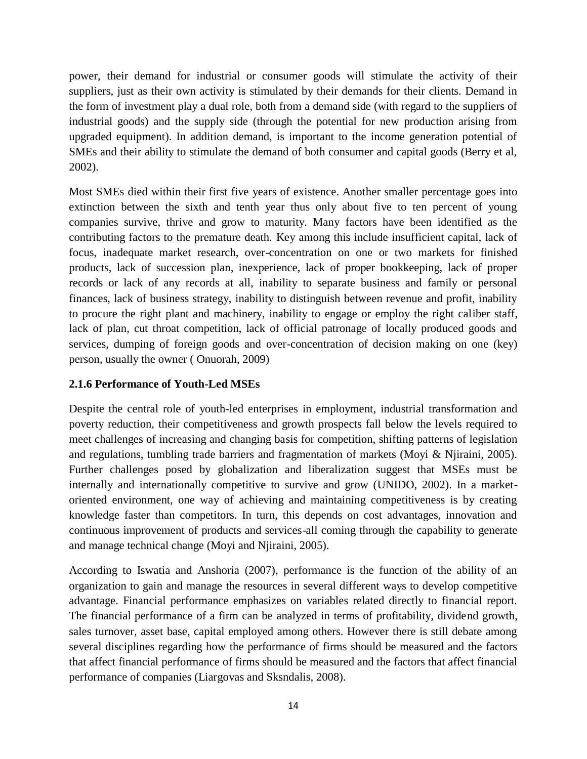power, their demand for industrial or consumer goods will stimulate the activity of their suppliers, just as their own activity is stimulated by their demands for their clients. Demand in the form of investment play a dual role, both from a demand side (with regard to the suppliers of industrial goods) and the supply side (through the potential for new production arising from upgraded equipment). In addition demand, is important to the income generation potential of SMEs and their ability to stimulate the demand of both consumer and capital goods (Berry et al, 2002).

Most SMEs died within their first five years of existence. Another smaller percentage goes into extinction between the sixth and tenth year thus only about five to ten percent of young companies survive, thrive and grow to maturity. Many factors have been identified as the contributing factors to the premature death. Key among this include insufficient capital, lack of focus, inadequate market research, over-concentration on one or two markets for finished products, lack of succession plan, inexperience, lack of proper bookkeeping, lack of proper records or lack of any records at all, inability to separate business and family or personal finances, lack of business strategy, inability to distinguish between revenue and profit, inability to procure the right plant and machinery, inability to engage or employ the right caliber staff, lack of plan, cut throat competition, lack of official patronage of locally produced goods and services, dumping of foreign goods and over-concentration of decision making on one (key) person, usually the owner ( Onuorah, 2009)

## **2.1.6 Performance of Youth-Led MSEs**

Despite the central role of youth-led enterprises in employment, industrial transformation and poverty reduction, their competitiveness and growth prospects fall below the levels required to meet challenges of increasing and changing basis for competition, shifting patterns of legislation and regulations, tumbling trade barriers and fragmentation of markets (Moyi & Njiraini, 2005). Further challenges posed by globalization and liberalization suggest that MSEs must be internally and internationally competitive to survive and grow (UNIDO, 2002). In a marketoriented environment, one way of achieving and maintaining competitiveness is by creating knowledge faster than competitors. In turn, this depends on cost advantages, innovation and continuous improvement of products and services-all coming through the capability to generate and manage technical change (Moyi and Njiraini, 2005).

According to Iswatia and Anshoria (2007), performance is the function of the ability of an organization to gain and manage the resources in several different ways to develop competitive advantage. Financial performance emphasizes on variables related directly to financial report. The financial performance of a firm can be analyzed in terms of profitability, dividend growth, sales turnover, asset base, capital employed among others. However there is still debate among several disciplines regarding how the performance of firms should be measured and the factors that affect financial performance of firms should be measured and the factors that affect financial performance of companies (Liargovas and Sksndalis, 2008).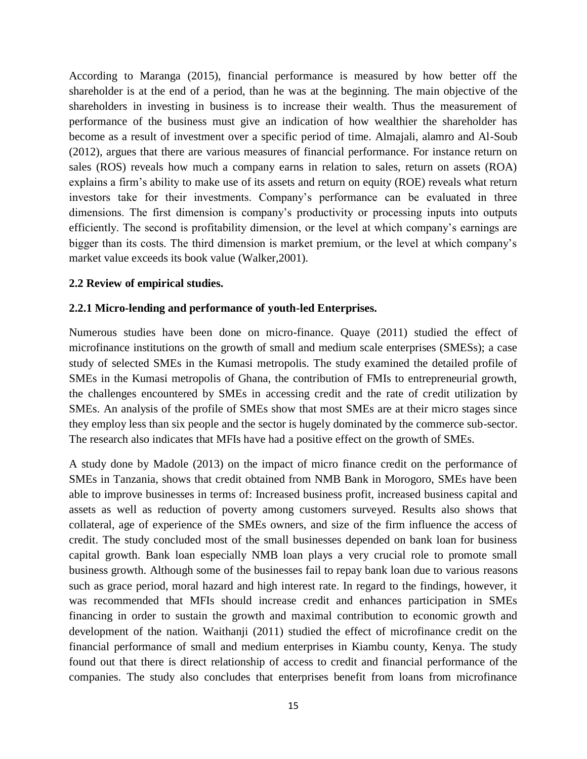According to Maranga (2015), financial performance is measured by how better off the shareholder is at the end of a period, than he was at the beginning. The main objective of the shareholders in investing in business is to increase their wealth. Thus the measurement of performance of the business must give an indication of how wealthier the shareholder has become as a result of investment over a specific period of time. Almajali, alamro and Al-Soub (2012), argues that there are various measures of financial performance. For instance return on sales (ROS) reveals how much a company earns in relation to sales, return on assets (ROA) explains a firm's ability to make use of its assets and return on equity (ROE) reveals what return investors take for their investments. Company's performance can be evaluated in three dimensions. The first dimension is company's productivity or processing inputs into outputs efficiently. The second is profitability dimension, or the level at which company's earnings are bigger than its costs. The third dimension is market premium, or the level at which company's market value exceeds its book value (Walker,2001).

#### **2.2 Review of empirical studies.**

#### **2.2.1 Micro-lending and performance of youth-led Enterprises.**

Numerous studies have been done on micro-finance. Quaye (2011) studied the effect of microfinance institutions on the growth of small and medium scale enterprises (SMESs); a case study of selected SMEs in the Kumasi metropolis. The study examined the detailed profile of SMEs in the Kumasi metropolis of Ghana, the contribution of FMIs to entrepreneurial growth, the challenges encountered by SMEs in accessing credit and the rate of credit utilization by SMEs. An analysis of the profile of SMEs show that most SMEs are at their micro stages since they employ less than six people and the sector is hugely dominated by the commerce sub-sector. The research also indicates that MFIs have had a positive effect on the growth of SMEs.

A study done by Madole (2013) on the impact of micro finance credit on the performance of SMEs in Tanzania, shows that credit obtained from NMB Bank in Morogoro, SMEs have been able to improve businesses in terms of: Increased business profit, increased business capital and assets as well as reduction of poverty among customers surveyed. Results also shows that collateral, age of experience of the SMEs owners, and size of the firm influence the access of credit. The study concluded most of the small businesses depended on bank loan for business capital growth. Bank loan especially NMB loan plays a very crucial role to promote small business growth. Although some of the businesses fail to repay bank loan due to various reasons such as grace period, moral hazard and high interest rate. In regard to the findings, however, it was recommended that MFIs should increase credit and enhances participation in SMEs financing in order to sustain the growth and maximal contribution to economic growth and development of the nation. Waithanji (2011) studied the effect of microfinance credit on the financial performance of small and medium enterprises in Kiambu county, Kenya. The study found out that there is direct relationship of access to credit and financial performance of the companies. The study also concludes that enterprises benefit from loans from microfinance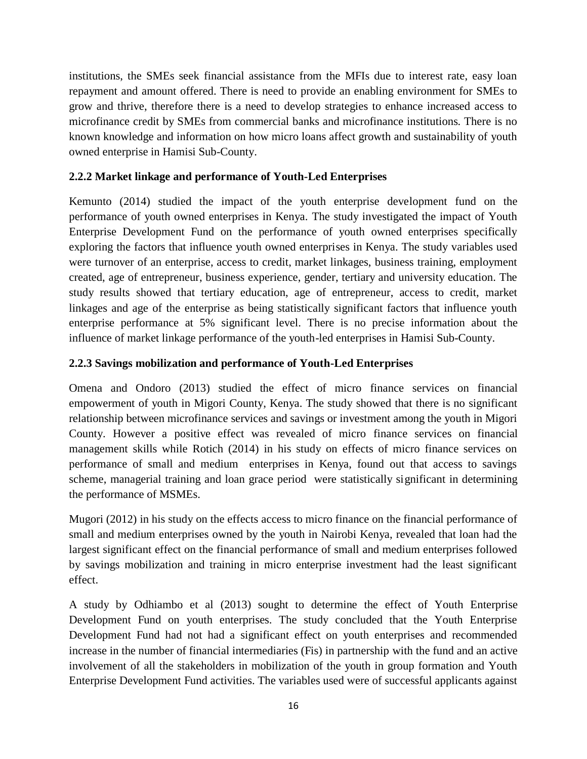institutions, the SMEs seek financial assistance from the MFIs due to interest rate, easy loan repayment and amount offered. There is need to provide an enabling environment for SMEs to grow and thrive, therefore there is a need to develop strategies to enhance increased access to microfinance credit by SMEs from commercial banks and microfinance institutions. There is no known knowledge and information on how micro loans affect growth and sustainability of youth owned enterprise in Hamisi Sub-County.

## **2.2.2 Market linkage and performance of Youth-Led Enterprises**

Kemunto (2014) studied the impact of the youth enterprise development fund on the performance of youth owned enterprises in Kenya. The study investigated the impact of Youth Enterprise Development Fund on the performance of youth owned enterprises specifically exploring the factors that influence youth owned enterprises in Kenya. The study variables used were turnover of an enterprise, access to credit, market linkages, business training, employment created, age of entrepreneur, business experience, gender, tertiary and university education. The study results showed that tertiary education, age of entrepreneur, access to credit, market linkages and age of the enterprise as being statistically significant factors that influence youth enterprise performance at 5% significant level. There is no precise information about the influence of market linkage performance of the youth-led enterprises in Hamisi Sub-County.

# **2.2.3 Savings mobilization and performance of Youth-Led Enterprises**

Omena and Ondoro (2013) studied the effect of micro finance services on financial empowerment of youth in Migori County, Kenya. The study showed that there is no significant relationship between microfinance services and savings or investment among the youth in Migori County. However a positive effect was revealed of micro finance services on financial management skills while Rotich (2014) in his study on effects of micro finance services on performance of small and medium enterprises in Kenya, found out that access to savings scheme, managerial training and loan grace period were statistically significant in determining the performance of MSMEs.

Mugori (2012) in his study on the effects access to micro finance on the financial performance of small and medium enterprises owned by the youth in Nairobi Kenya, revealed that loan had the largest significant effect on the financial performance of small and medium enterprises followed by savings mobilization and training in micro enterprise investment had the least significant effect.

A study by Odhiambo et al (2013) sought to determine the effect of Youth Enterprise Development Fund on youth enterprises. The study concluded that the Youth Enterprise Development Fund had not had a significant effect on youth enterprises and recommended increase in the number of financial intermediaries (Fis) in partnership with the fund and an active involvement of all the stakeholders in mobilization of the youth in group formation and Youth Enterprise Development Fund activities. The variables used were of successful applicants against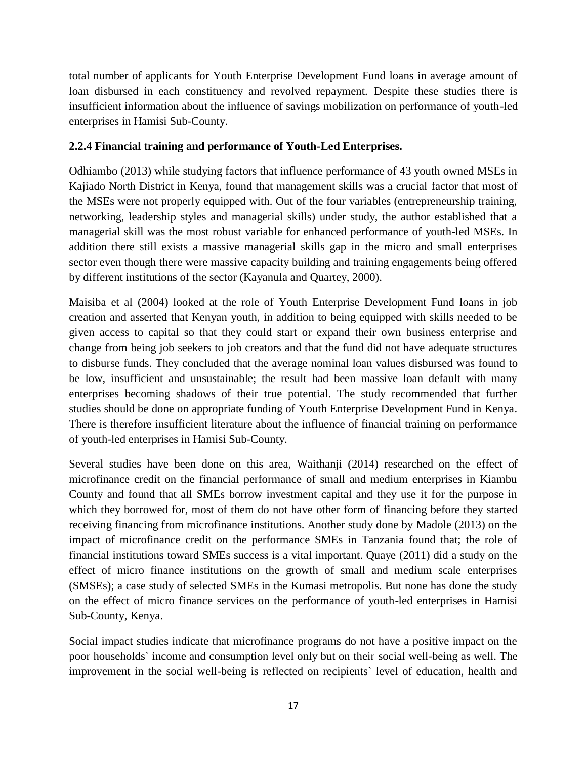total number of applicants for Youth Enterprise Development Fund loans in average amount of loan disbursed in each constituency and revolved repayment. Despite these studies there is insufficient information about the influence of savings mobilization on performance of youth-led enterprises in Hamisi Sub-County.

## **2.2.4 Financial training and performance of Youth-Led Enterprises.**

Odhiambo (2013) while studying factors that influence performance of 43 youth owned MSEs in Kajiado North District in Kenya, found that management skills was a crucial factor that most of the MSEs were not properly equipped with. Out of the four variables (entrepreneurship training, networking, leadership styles and managerial skills) under study, the author established that a managerial skill was the most robust variable for enhanced performance of youth-led MSEs. In addition there still exists a massive managerial skills gap in the micro and small enterprises sector even though there were massive capacity building and training engagements being offered by different institutions of the sector (Kayanula and Quartey, 2000).

Maisiba et al (2004) looked at the role of Youth Enterprise Development Fund loans in job creation and asserted that Kenyan youth, in addition to being equipped with skills needed to be given access to capital so that they could start or expand their own business enterprise and change from being job seekers to job creators and that the fund did not have adequate structures to disburse funds. They concluded that the average nominal loan values disbursed was found to be low, insufficient and unsustainable; the result had been massive loan default with many enterprises becoming shadows of their true potential. The study recommended that further studies should be done on appropriate funding of Youth Enterprise Development Fund in Kenya. There is therefore insufficient literature about the influence of financial training on performance of youth-led enterprises in Hamisi Sub-County.

Several studies have been done on this area, Waithanji (2014) researched on the effect of microfinance credit on the financial performance of small and medium enterprises in Kiambu County and found that all SMEs borrow investment capital and they use it for the purpose in which they borrowed for, most of them do not have other form of financing before they started receiving financing from microfinance institutions. Another study done by Madole (2013) on the impact of microfinance credit on the performance SMEs in Tanzania found that; the role of financial institutions toward SMEs success is a vital important. Quaye (2011) did a study on the effect of micro finance institutions on the growth of small and medium scale enterprises (SMSEs); a case study of selected SMEs in the Kumasi metropolis. But none has done the study on the effect of micro finance services on the performance of youth-led enterprises in Hamisi Sub-County, Kenya.

Social impact studies indicate that microfinance programs do not have a positive impact on the poor households` income and consumption level only but on their social well-being as well. The improvement in the social well-being is reflected on recipients` level of education, health and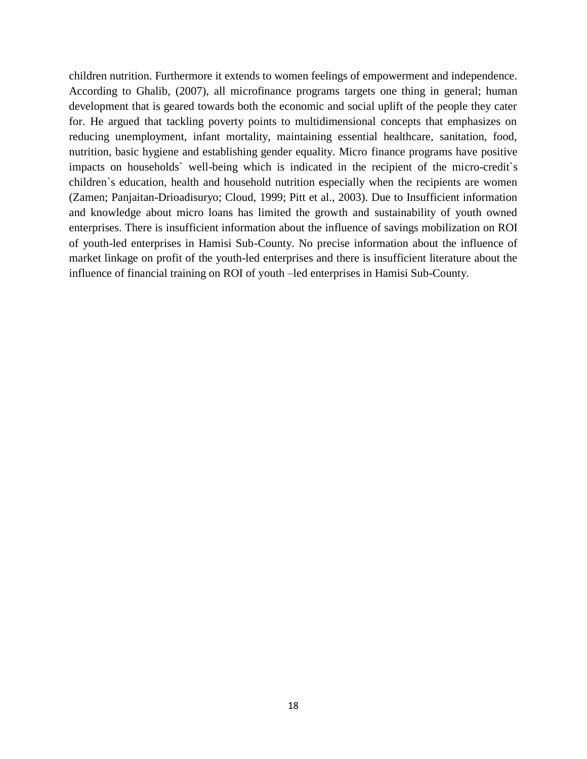children nutrition. Furthermore it extends to women feelings of empowerment and independence. According to Ghalib, (2007), all microfinance programs targets one thing in general; human development that is geared towards both the economic and social uplift of the people they cater for. He argued that tackling poverty points to multidimensional concepts that emphasizes on reducing unemployment, infant mortality, maintaining essential healthcare, sanitation, food, nutrition, basic hygiene and establishing gender equality. Micro finance programs have positive impacts on households` well-being which is indicated in the recipient of the micro-credit`s children`s education, health and household nutrition especially when the recipients are women (Zamen; Panjaitan-Drioadisuryo; Cloud, 1999; Pitt et al., 2003). Due to Insufficient information and knowledge about micro loans has limited the growth and sustainability of youth owned enterprises. There is insufficient information about the influence of savings mobilization on ROI of youth-led enterprises in Hamisi Sub-County. No precise information about the influence of market linkage on profit of the youth-led enterprises and there is insufficient literature about the influence of financial training on ROI of youth –led enterprises in Hamisi Sub-County.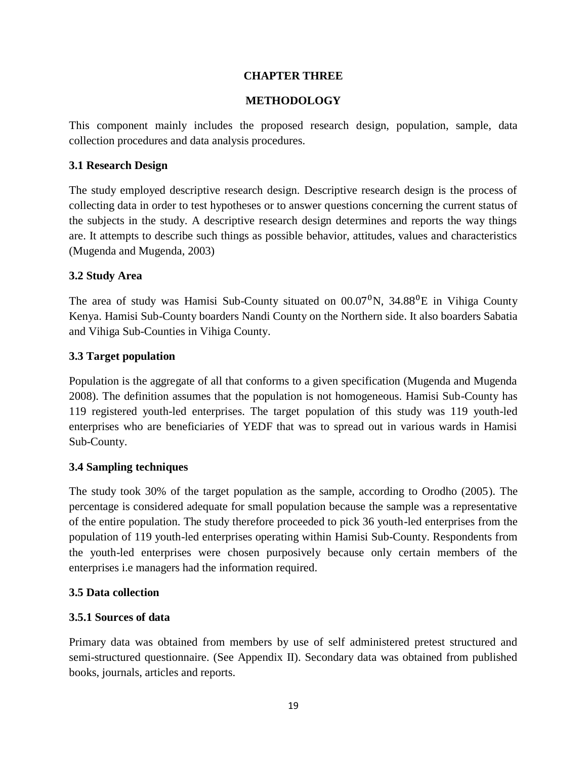#### **CHAPTER THREE**

#### **METHODOLOGY**

This component mainly includes the proposed research design, population, sample, data collection procedures and data analysis procedures.

#### **3.1 Research Design**

The study employed descriptive research design. Descriptive research design is the process of collecting data in order to test hypotheses or to answer questions concerning the current status of the subjects in the study. A descriptive research design determines and reports the way things are. It attempts to describe such things as possible behavior, attitudes, values and characteristics (Mugenda and Mugenda, 2003)

#### **3.2 Study Area**

The area of study was Hamisi Sub-County situated on  $00.07^0$ N,  $34.88^0$ E in Vihiga County Kenya. Hamisi Sub-County boarders Nandi County on the Northern side. It also boarders Sabatia and Vihiga Sub-Counties in Vihiga County.

#### **3.3 Target population**

Population is the aggregate of all that conforms to a given specification (Mugenda and Mugenda 2008). The definition assumes that the population is not homogeneous. Hamisi Sub-County has 119 registered youth-led enterprises. The target population of this study was 119 youth-led enterprises who are beneficiaries of YEDF that was to spread out in various wards in Hamisi Sub-County.

## **3.4 Sampling techniques**

The study took 30% of the target population as the sample, according to Orodho (2005). The percentage is considered adequate for small population because the sample was a representative of the entire population. The study therefore proceeded to pick 36 youth-led enterprises from the population of 119 youth-led enterprises operating within Hamisi Sub-County. Respondents from the youth-led enterprises were chosen purposively because only certain members of the enterprises i.e managers had the information required.

#### **3.5 Data collection**

#### **3.5.1 Sources of data**

Primary data was obtained from members by use of self administered pretest structured and semi-structured questionnaire. (See Appendix II). Secondary data was obtained from published books, journals, articles and reports.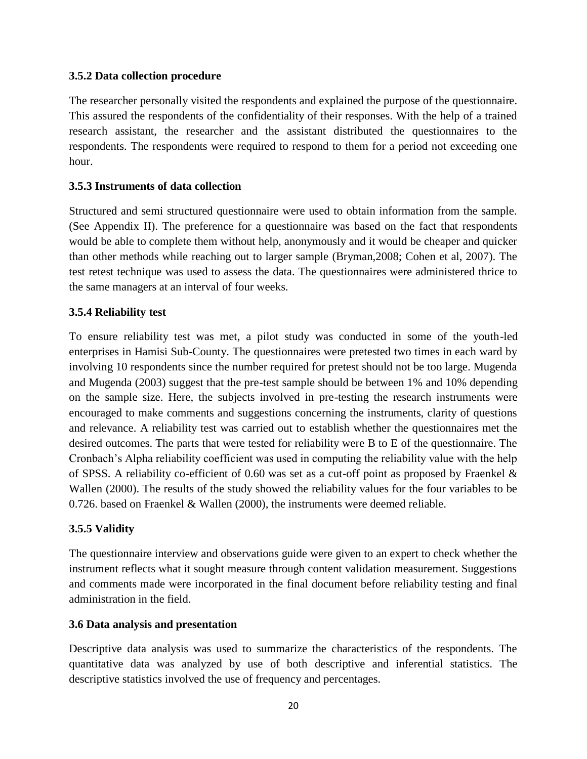## **3.5.2 Data collection procedure**

The researcher personally visited the respondents and explained the purpose of the questionnaire. This assured the respondents of the confidentiality of their responses. With the help of a trained research assistant, the researcher and the assistant distributed the questionnaires to the respondents. The respondents were required to respond to them for a period not exceeding one hour.

## **3.5.3 Instruments of data collection**

Structured and semi structured questionnaire were used to obtain information from the sample. (See Appendix II). The preference for a questionnaire was based on the fact that respondents would be able to complete them without help, anonymously and it would be cheaper and quicker than other methods while reaching out to larger sample (Bryman,2008; Cohen et al, 2007). The test retest technique was used to assess the data. The questionnaires were administered thrice to the same managers at an interval of four weeks.

#### **3.5.4 Reliability test**

To ensure reliability test was met, a pilot study was conducted in some of the youth-led enterprises in Hamisi Sub-County. The questionnaires were pretested two times in each ward by involving 10 respondents since the number required for pretest should not be too large. Mugenda and Mugenda (2003) suggest that the pre-test sample should be between 1% and 10% depending on the sample size. Here, the subjects involved in pre-testing the research instruments were encouraged to make comments and suggestions concerning the instruments, clarity of questions and relevance. A reliability test was carried out to establish whether the questionnaires met the desired outcomes. The parts that were tested for reliability were B to E of the questionnaire. The Cronbach's Alpha reliability coefficient was used in computing the reliability value with the help of SPSS. A reliability co-efficient of 0.60 was set as a cut-off point as proposed by Fraenkel & Wallen (2000). The results of the study showed the reliability values for the four variables to be 0.726. based on Fraenkel & Wallen (2000), the instruments were deemed reliable.

#### **3.5.5 Validity**

The questionnaire interview and observations guide were given to an expert to check whether the instrument reflects what it sought measure through content validation measurement. Suggestions and comments made were incorporated in the final document before reliability testing and final administration in the field.

#### **3.6 Data analysis and presentation**

Descriptive data analysis was used to summarize the characteristics of the respondents. The quantitative data was analyzed by use of both descriptive and inferential statistics. The descriptive statistics involved the use of frequency and percentages.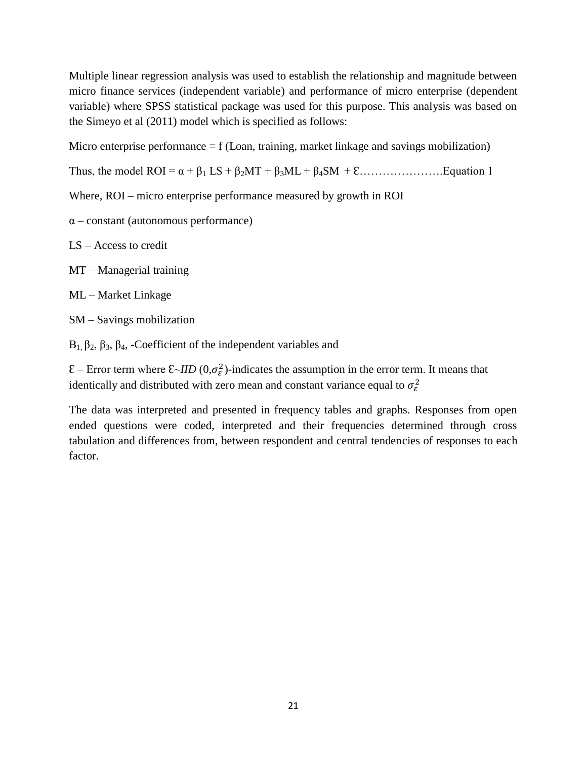Multiple linear regression analysis was used to establish the relationship and magnitude between micro finance services (independent variable) and performance of micro enterprise (dependent variable) where SPSS statistical package was used for this purpose. This analysis was based on the Simeyo et al (2011) model which is specified as follows:

Micro enterprise performance  $= f$  (Loan, training, market linkage and savings mobilization)

Thus, the model ROI = α + β<sup>1</sup> LS + β2MT + β3ML + β4SM + Ɛ………………….Equation 1

Where, ROI – micro enterprise performance measured by growth in ROI

α – constant (autonomous performance)

LS – Access to credit

MT – Managerial training

ML – Market Linkage

SM – Savings mobilization

 $B_1$ ,  $β_2$ ,  $β_3$ ,  $β_4$ , -Coefficient of the independent variables and

 $\mathcal{E}$  – Error term where  $\mathcal{E}$ -*IID*  $(0, \sigma_{\varepsilon}^2)$ -indicates the assumption in the error term. It means that identically and distributed with zero mean and constant variance equal to  $\sigma_{\epsilon}^2$ 

The data was interpreted and presented in frequency tables and graphs. Responses from open ended questions were coded, interpreted and their frequencies determined through cross tabulation and differences from, between respondent and central tendencies of responses to each factor.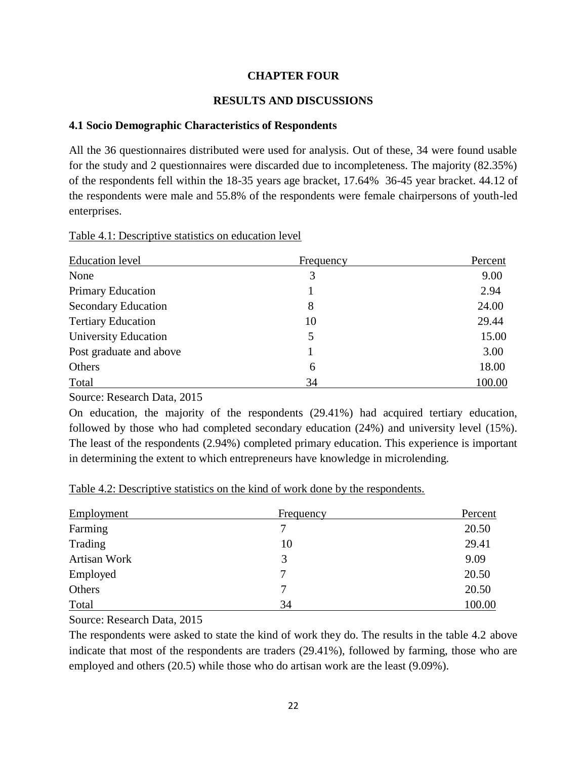#### **CHAPTER FOUR**

#### **RESULTS AND DISCUSSIONS**

#### **4.1 Socio Demographic Characteristics of Respondents**

All the 36 questionnaires distributed were used for analysis. Out of these, 34 were found usable for the study and 2 questionnaires were discarded due to incompleteness. The majority (82.35%) of the respondents fell within the 18-35 years age bracket, 17.64% 36-45 year bracket. 44.12 of the respondents were male and 55.8% of the respondents were female chairpersons of youth-led enterprises.

| Table 4.1: Descriptive statistics on education level |  |  |  |
|------------------------------------------------------|--|--|--|
|------------------------------------------------------|--|--|--|

| <b>Education</b> level      | Frequency | Percent |
|-----------------------------|-----------|---------|
| None                        | 3         | 9.00    |
| <b>Primary Education</b>    |           | 2.94    |
| <b>Secondary Education</b>  | 8         | 24.00   |
| <b>Tertiary Education</b>   | 10        | 29.44   |
| <b>University Education</b> |           | 15.00   |
| Post graduate and above     |           | 3.00    |
| Others                      | 6         | 18.00   |
| Total                       | 34        | 100.00  |

Source: Research Data, 2015

On education, the majority of the respondents (29.41%) had acquired tertiary education, followed by those who had completed secondary education (24%) and university level (15%). The least of the respondents (2.94%) completed primary education. This experience is important in determining the extent to which entrepreneurs have knowledge in microlending.

Table 4.2: Descriptive statistics on the kind of work done by the respondents.

| Employment   | Frequency | Percent |
|--------------|-----------|---------|
| Farming      |           | 20.50   |
| Trading      | 10        | 29.41   |
| Artisan Work | 3         | 9.09    |
| Employed     |           | 20.50   |
| Others       |           | 20.50   |
| Total        | 34        | 100.00  |

Source: Research Data, 2015

The respondents were asked to state the kind of work they do. The results in the table 4.2 above indicate that most of the respondents are traders (29.41%), followed by farming, those who are employed and others (20.5) while those who do artisan work are the least (9.09%).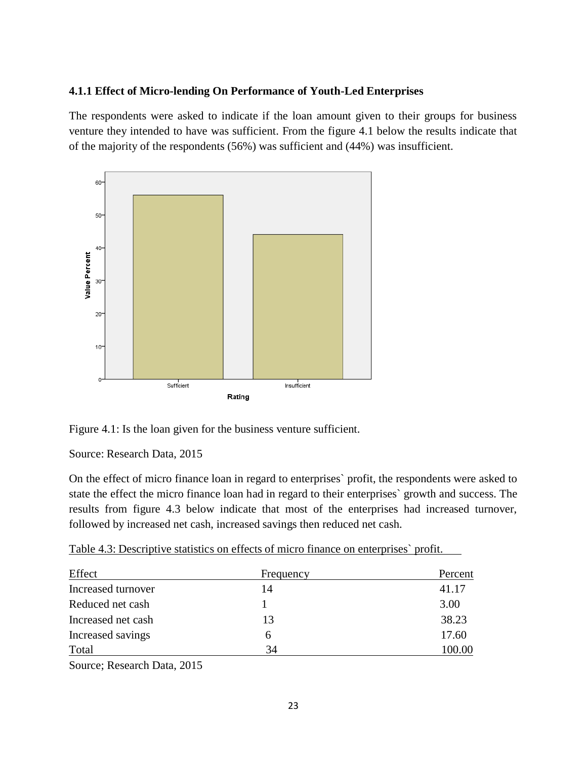#### **4.1.1 Effect of Micro-lending On Performance of Youth-Led Enterprises**

The respondents were asked to indicate if the loan amount given to their groups for business venture they intended to have was sufficient. From the figure 4.1 below the results indicate that of the majority of the respondents (56%) was sufficient and (44%) was insufficient.



Figure 4.1: Is the loan given for the business venture sufficient.

Source: Research Data, 2015

On the effect of micro finance loan in regard to enterprises` profit, the respondents were asked to state the effect the micro finance loan had in regard to their enterprises` growth and success. The results from figure 4.3 below indicate that most of the enterprises had increased turnover, followed by increased net cash, increased savings then reduced net cash.

|  |  |  | Table 4.3: Descriptive statistics on effects of micro finance on enterprises' profit. |  |  |  |
|--|--|--|---------------------------------------------------------------------------------------|--|--|--|
|--|--|--|---------------------------------------------------------------------------------------|--|--|--|

| Effect             | Frequency | Percent |
|--------------------|-----------|---------|
| Increased turnover | 14        | 41.17   |
| Reduced net cash   |           | 3.00    |
| Increased net cash | 13        | 38.23   |
| Increased savings  | h         | 17.60   |
| Total              | 34        | 100.00  |

Source; Research Data, 2015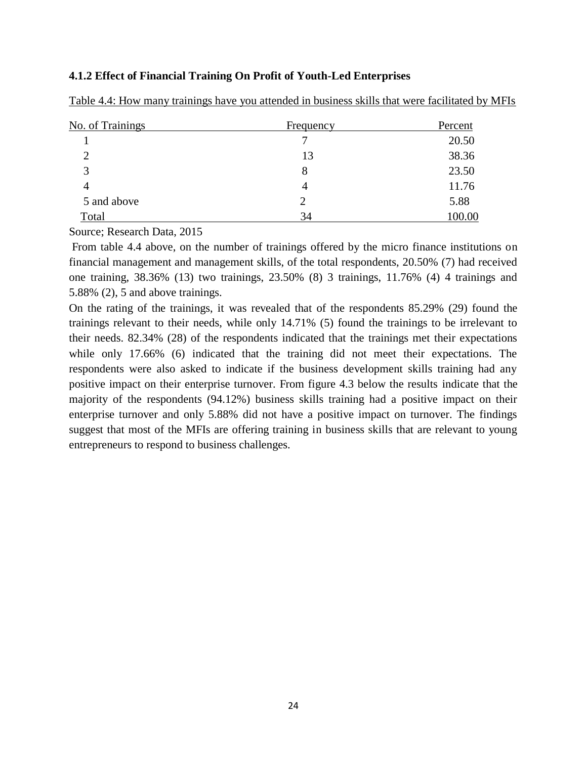#### **4.1.2 Effect of Financial Training On Profit of Youth-Led Enterprises**

| No. of Trainings  | <b>Frequency</b> | Percent |
|-------------------|------------------|---------|
|                   |                  | 20.50   |
| 2                 | 13               | 38.36   |
| $\mathbf{\Omega}$ | 8                | 23.50   |
| 4                 |                  | 11.76   |
| 5 and above       | 2                | 5.88    |
| Total             | 34               | 100.00  |

Table 4.4: How many trainings have you attended in business skills that were facilitated by MFIs

Source; Research Data, 2015

From table 4.4 above, on the number of trainings offered by the micro finance institutions on financial management and management skills, of the total respondents, 20.50% (7) had received one training, 38.36% (13) two trainings, 23.50% (8) 3 trainings, 11.76% (4) 4 trainings and 5.88% (2), 5 and above trainings.

On the rating of the trainings, it was revealed that of the respondents 85.29% (29) found the trainings relevant to their needs, while only 14.71% (5) found the trainings to be irrelevant to their needs. 82.34% (28) of the respondents indicated that the trainings met their expectations while only 17.66% (6) indicated that the training did not meet their expectations. The respondents were also asked to indicate if the business development skills training had any positive impact on their enterprise turnover. From figure 4.3 below the results indicate that the majority of the respondents (94.12%) business skills training had a positive impact on their enterprise turnover and only 5.88% did not have a positive impact on turnover. The findings suggest that most of the MFIs are offering training in business skills that are relevant to young entrepreneurs to respond to business challenges.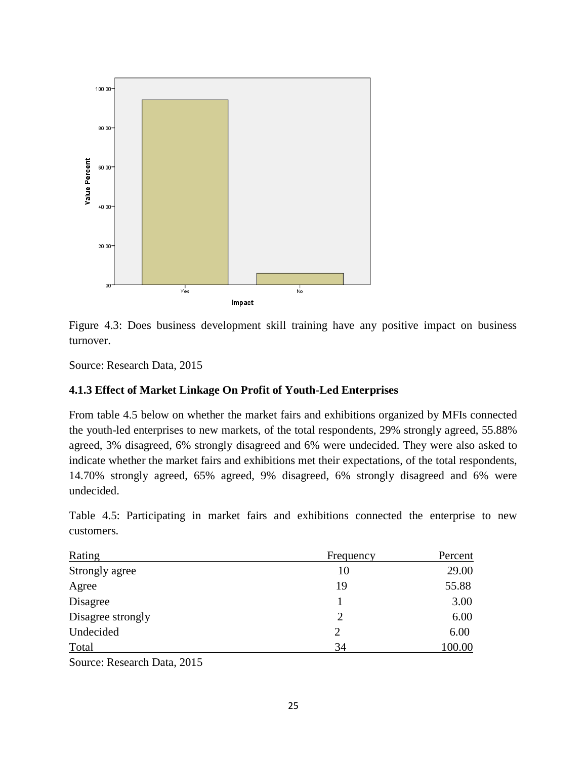



Source: Research Data, 2015

#### **4.1.3 Effect of Market Linkage On Profit of Youth-Led Enterprises**

From table 4.5 below on whether the market fairs and exhibitions organized by MFIs connected the youth-led enterprises to new markets, of the total respondents, 29% strongly agreed, 55.88% agreed, 3% disagreed, 6% strongly disagreed and 6% were undecided. They were also asked to indicate whether the market fairs and exhibitions met their expectations, of the total respondents, 14.70% strongly agreed, 65% agreed, 9% disagreed, 6% strongly disagreed and 6% were undecided.

Table 4.5: Participating in market fairs and exhibitions connected the enterprise to new customers.

| Rating            | Frequency | Percent |
|-------------------|-----------|---------|
| Strongly agree    | 10        | 29.00   |
| Agree             | 19        | 55.88   |
| Disagree          |           | 3.00    |
| Disagree strongly | 2         | 6.00    |
| Undecided         |           | 6.00    |
| Total             | 34        | 100.00  |
|                   |           |         |

Source: Research Data, 2015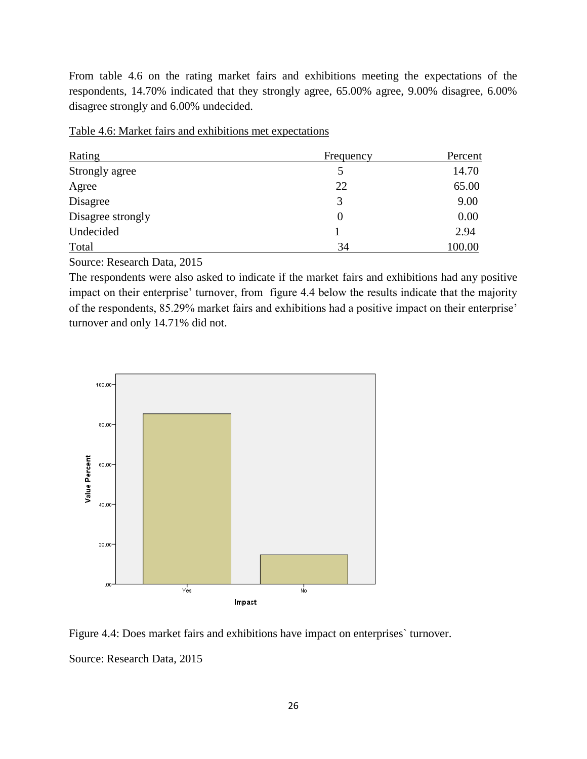From table 4.6 on the rating market fairs and exhibitions meeting the expectations of the respondents, 14.70% indicated that they strongly agree, 65.00% agree, 9.00% disagree, 6.00% disagree strongly and 6.00% undecided.

| Rating            | <b>Frequency</b> | Percent |
|-------------------|------------------|---------|
| Strongly agree    |                  | 14.70   |
| Agree             | 22               | 65.00   |
| Disagree          | 3                | 9.00    |
| Disagree strongly | $\theta$         | 0.00    |
| Undecided         |                  | 2.94    |
| Total             | 34               | 100.00  |

Table 4.6: Market fairs and exhibitions met expectations

Source: Research Data, 2015

The respondents were also asked to indicate if the market fairs and exhibitions had any positive impact on their enterprise' turnover, from figure 4.4 below the results indicate that the majority of the respondents, 85.29% market fairs and exhibitions had a positive impact on their enterprise' turnover and only 14.71% did not.



Figure 4.4: Does market fairs and exhibitions have impact on enterprises` turnover. Source: Research Data, 2015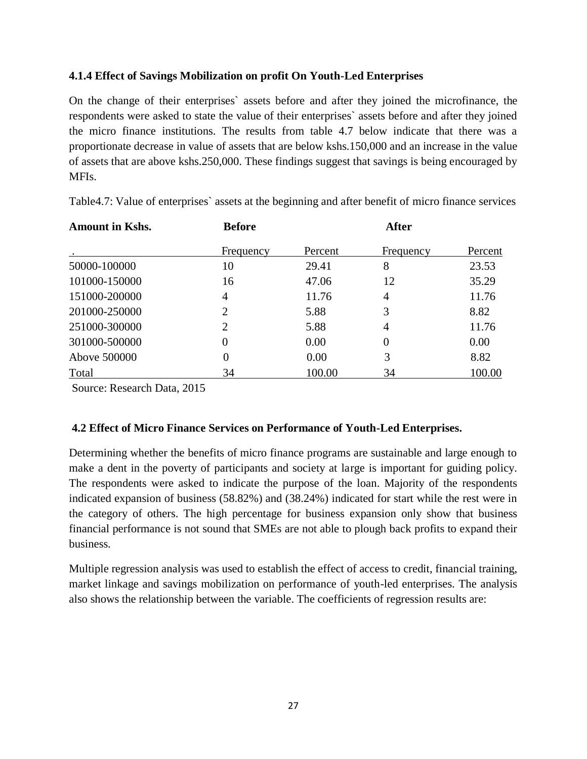## **4.1.4 Effect of Savings Mobilization on profit On Youth-Led Enterprises**

On the change of their enterprises` assets before and after they joined the microfinance, the respondents were asked to state the value of their enterprises` assets before and after they joined the micro finance institutions. The results from table 4.7 below indicate that there was a proportionate decrease in value of assets that are below kshs.150,000 and an increase in the value of assets that are above kshs.250,000. These findings suggest that savings is being encouraged by MFIs.

| <b>Amount in Kshs.</b> | <b>Before</b>               |         | <b>After</b>   |         |
|------------------------|-----------------------------|---------|----------------|---------|
|                        | Frequency                   | Percent | Frequency      | Percent |
| 50000-100000           | 10                          | 29.41   | 8              | 23.53   |
| 101000-150000          | 16                          | 47.06   | 12             | 35.29   |
| 151000-200000          | 4                           | 11.76   | $\overline{4}$ | 11.76   |
| 201000-250000          | $\overline{2}$              | 5.88    | 3              | 8.82    |
| 251000-300000          | $\mathcal{D}_{\mathcal{L}}$ | 5.88    | 4              | 11.76   |
| 301000-500000          | 0                           | 0.00    | $\overline{0}$ | 0.00    |
| Above 500000           | 0                           | 0.00    | 3              | 8.82    |
| Total                  | 34                          | 100.00  | 34             | 100.00  |

Table4.7: Value of enterprises` assets at the beginning and after benefit of micro finance services

Source: Research Data, 2015

## **4.2 Effect of Micro Finance Services on Performance of Youth-Led Enterprises.**

Determining whether the benefits of micro finance programs are sustainable and large enough to make a dent in the poverty of participants and society at large is important for guiding policy. The respondents were asked to indicate the purpose of the loan. Majority of the respondents indicated expansion of business (58.82%) and (38.24%) indicated for start while the rest were in the category of others. The high percentage for business expansion only show that business financial performance is not sound that SMEs are not able to plough back profits to expand their business.

Multiple regression analysis was used to establish the effect of access to credit, financial training, market linkage and savings mobilization on performance of youth-led enterprises. The analysis also shows the relationship between the variable. The coefficients of regression results are: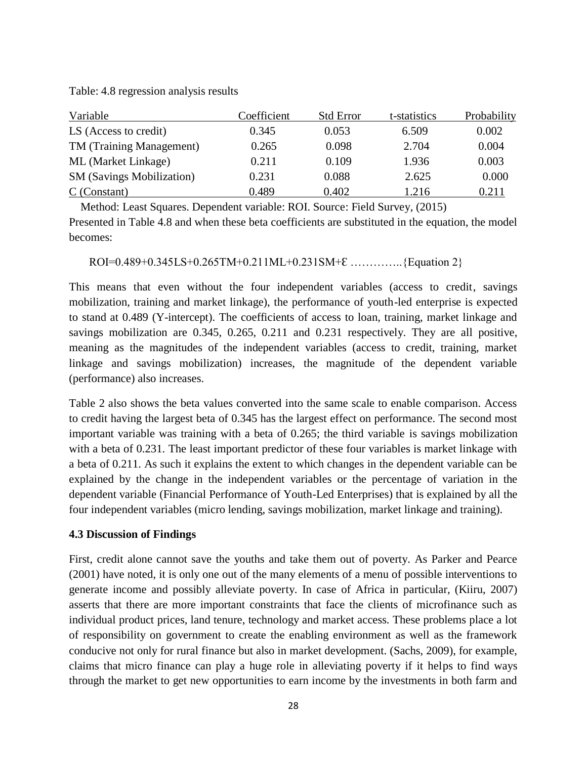Table: 4.8 regression analysis results

| Variable                         | Coefficient | <b>Std Error</b> | t-statistics | Probability |
|----------------------------------|-------------|------------------|--------------|-------------|
| LS (Access to credit)            | 0.345       | 0.053            | 6.509        | 0.002       |
| TM (Training Management)         | 0.265       | 0.098            | 2.704        | 0.004       |
| ML (Market Linkage)              | 0.211       | 0.109            | 1.936        | 0.003       |
| <b>SM</b> (Savings Mobilization) | 0.231       | 0.088            | 2.625        | 0.000       |
| $C$ (Constant)                   | 0.489       | 0.402            | 1.216        | 0.211       |

Method: Least Squares. Dependent variable: ROI. Source: Field Survey, (2015)

Presented in Table 4.8 and when these beta coefficients are substituted in the equation, the model becomes:

ROI=0.489+0.345LS+0.265TM+0.211ML+0.231SM+ $\mathcal{E}$  ...............{Equation 2}

This means that even without the four independent variables (access to credit, savings mobilization, training and market linkage), the performance of youth-led enterprise is expected to stand at 0.489 (Y-intercept). The coefficients of access to loan, training, market linkage and savings mobilization are 0.345, 0.265, 0.211 and 0.231 respectively. They are all positive, meaning as the magnitudes of the independent variables (access to credit, training, market linkage and savings mobilization) increases, the magnitude of the dependent variable (performance) also increases.

Table 2 also shows the beta values converted into the same scale to enable comparison. Access to credit having the largest beta of 0.345 has the largest effect on performance. The second most important variable was training with a beta of 0.265; the third variable is savings mobilization with a beta of 0.231. The least important predictor of these four variables is market linkage with a beta of 0.211. As such it explains the extent to which changes in the dependent variable can be explained by the change in the independent variables or the percentage of variation in the dependent variable (Financial Performance of Youth-Led Enterprises) that is explained by all the four independent variables (micro lending, savings mobilization, market linkage and training).

#### **4.3 Discussion of Findings**

First, credit alone cannot save the youths and take them out of poverty. As Parker and Pearce (2001) have noted, it is only one out of the many elements of a menu of possible interventions to generate income and possibly alleviate poverty. In case of Africa in particular, (Kiiru, 2007) asserts that there are more important constraints that face the clients of microfinance such as individual product prices, land tenure, technology and market access. These problems place a lot of responsibility on government to create the enabling environment as well as the framework conducive not only for rural finance but also in market development. (Sachs, 2009), for example, claims that micro finance can play a huge role in alleviating poverty if it helps to find ways through the market to get new opportunities to earn income by the investments in both farm and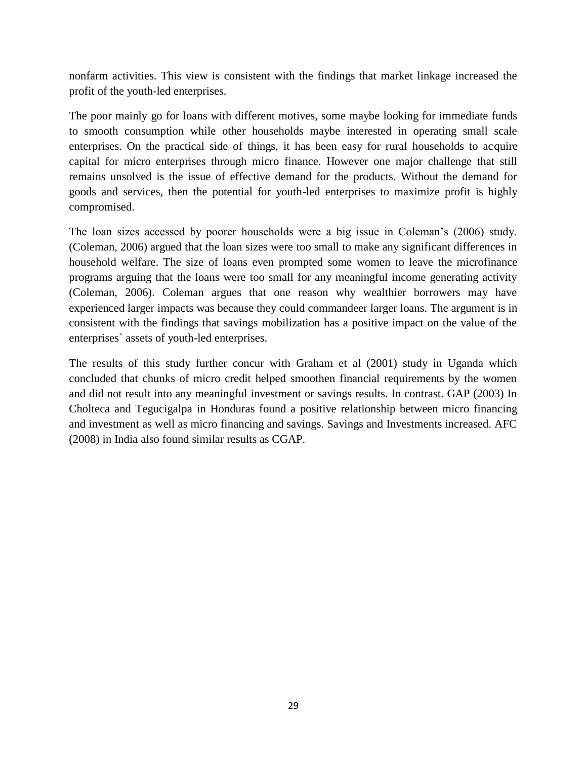nonfarm activities. This view is consistent with the findings that market linkage increased the profit of the youth-led enterprises.

The poor mainly go for loans with different motives, some maybe looking for immediate funds to smooth consumption while other households maybe interested in operating small scale enterprises. On the practical side of things, it has been easy for rural households to acquire capital for micro enterprises through micro finance. However one major challenge that still remains unsolved is the issue of effective demand for the products. Without the demand for goods and services, then the potential for youth-led enterprises to maximize profit is highly compromised.

The loan sizes accessed by poorer households were a big issue in Coleman's (2006) study. (Coleman, 2006) argued that the loan sizes were too small to make any significant differences in household welfare. The size of loans even prompted some women to leave the microfinance programs arguing that the loans were too small for any meaningful income generating activity (Coleman, 2006). Coleman argues that one reason why wealthier borrowers may have experienced larger impacts was because they could commandeer larger loans. The argument is in consistent with the findings that savings mobilization has a positive impact on the value of the enterprises` assets of youth-led enterprises.

The results of this study further concur with Graham et al (2001) study in Uganda which concluded that chunks of micro credit helped smoothen financial requirements by the women and did not result into any meaningful investment or savings results. In contrast. GAP (2003) In Cholteca and Tegucigalpa in Honduras found a positive relationship between micro financing and investment as well as micro financing and savings. Savings and Investments increased. AFC (2008) in India also found similar results as CGAP.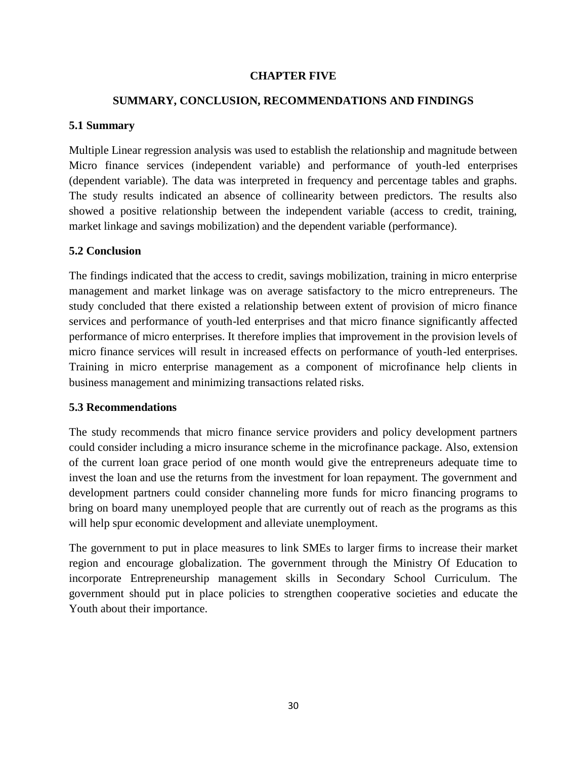#### **CHAPTER FIVE**

## **SUMMARY, CONCLUSION, RECOMMENDATIONS AND FINDINGS**

#### **5.1 Summary**

Multiple Linear regression analysis was used to establish the relationship and magnitude between Micro finance services (independent variable) and performance of youth-led enterprises (dependent variable). The data was interpreted in frequency and percentage tables and graphs. The study results indicated an absence of collinearity between predictors. The results also showed a positive relationship between the independent variable (access to credit, training, market linkage and savings mobilization) and the dependent variable (performance).

#### **5.2 Conclusion**

The findings indicated that the access to credit, savings mobilization, training in micro enterprise management and market linkage was on average satisfactory to the micro entrepreneurs. The study concluded that there existed a relationship between extent of provision of micro finance services and performance of youth-led enterprises and that micro finance significantly affected performance of micro enterprises. It therefore implies that improvement in the provision levels of micro finance services will result in increased effects on performance of youth-led enterprises. Training in micro enterprise management as a component of microfinance help clients in business management and minimizing transactions related risks.

#### **5.3 Recommendations**

The study recommends that micro finance service providers and policy development partners could consider including a micro insurance scheme in the microfinance package. Also, extension of the current loan grace period of one month would give the entrepreneurs adequate time to invest the loan and use the returns from the investment for loan repayment. The government and development partners could consider channeling more funds for micro financing programs to bring on board many unemployed people that are currently out of reach as the programs as this will help spur economic development and alleviate unemployment.

The government to put in place measures to link SMEs to larger firms to increase their market region and encourage globalization. The government through the Ministry Of Education to incorporate Entrepreneurship management skills in Secondary School Curriculum. The government should put in place policies to strengthen cooperative societies and educate the Youth about their importance.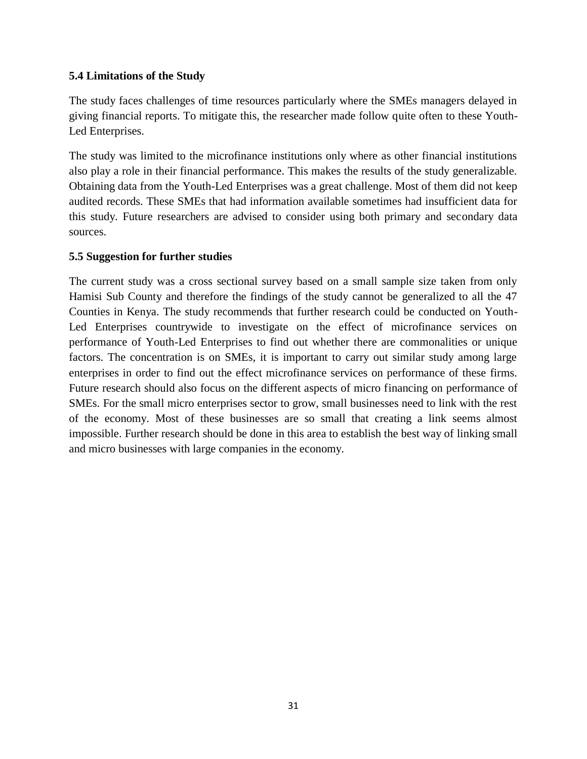## **5.4 Limitations of the Study**

The study faces challenges of time resources particularly where the SMEs managers delayed in giving financial reports. To mitigate this, the researcher made follow quite often to these Youth-Led Enterprises.

The study was limited to the microfinance institutions only where as other financial institutions also play a role in their financial performance. This makes the results of the study generalizable. Obtaining data from the Youth-Led Enterprises was a great challenge. Most of them did not keep audited records. These SMEs that had information available sometimes had insufficient data for this study. Future researchers are advised to consider using both primary and secondary data sources.

#### **5.5 Suggestion for further studies**

The current study was a cross sectional survey based on a small sample size taken from only Hamisi Sub County and therefore the findings of the study cannot be generalized to all the 47 Counties in Kenya. The study recommends that further research could be conducted on Youth-Led Enterprises countrywide to investigate on the effect of microfinance services on performance of Youth-Led Enterprises to find out whether there are commonalities or unique factors. The concentration is on SMEs, it is important to carry out similar study among large enterprises in order to find out the effect microfinance services on performance of these firms. Future research should also focus on the different aspects of micro financing on performance of SMEs. For the small micro enterprises sector to grow, small businesses need to link with the rest of the economy. Most of these businesses are so small that creating a link seems almost impossible. Further research should be done in this area to establish the best way of linking small and micro businesses with large companies in the economy.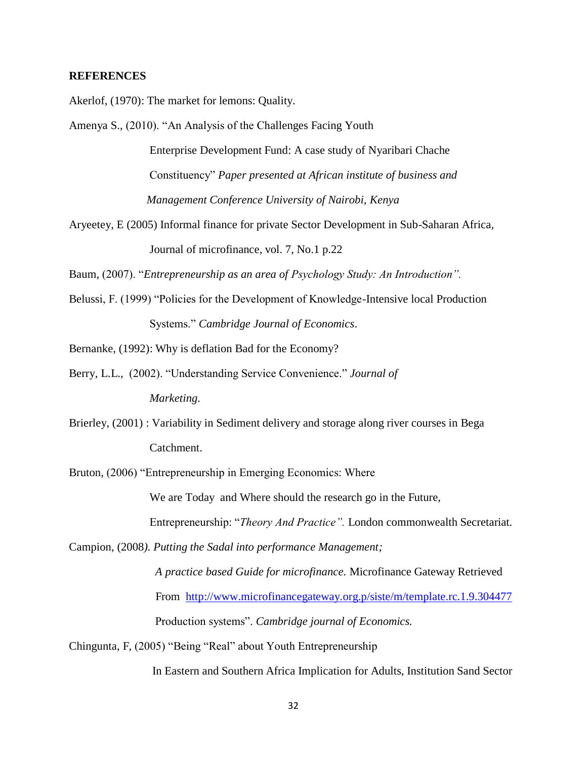#### **REFERENCES**

Akerlof, (1970): The market for lemons: Quality.

- Amenya S., (2010). "An Analysis of the Challenges Facing Youth Enterprise Development Fund: A case study of Nyaribari Chache Constituency" *Paper presented at African institute of business and Management Conference University of Nairobi, Kenya*
- Aryeetey, E (2005) Informal finance for private Sector Development in Sub-Saharan Africa, Journal of microfinance, vol. 7, No.1 p.22

Baum, (2007). "*Entrepreneurship as an area of Psychology Study: An Introduction".*

Belussi, F. (1999) "Policies for the Development of Knowledge-Intensive local Production Systems." *Cambridge Journal of Economics*.

Bernanke, (1992): Why is deflation Bad for the Economy?

- Berry, L.L., (2002). "Understanding Service Convenience." *Journal of Marketing.*
- Brierley, (2001) : Variability in Sediment delivery and storage along river courses in Bega Catchment.

Bruton, (2006) "Entrepreneurship in Emerging Economics: Where

We are Today and Where should the research go in the Future,

Entrepreneurship: "*Theory And Practice".* London commonwealth Secretariat.

Campion, (2008*). Putting the Sadal into performance Management;* 

 *A practice based Guide for microfinance.* Microfinance Gateway Retrieved From <http://www.microfinancegateway.org.p/siste/m/template.rc.1.9.304477> Production systems". *Cambridge journal of Economics.*

Chingunta, F, (2005) "Being "Real" about Youth Entrepreneurship

In Eastern and Southern Africa Implication for Adults, Institution Sand Sector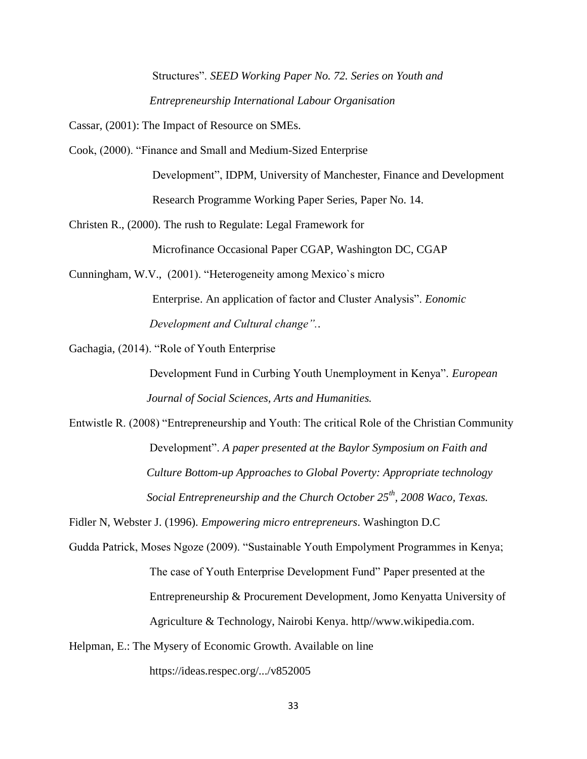Structures". *SEED Working Paper No. 72. Series on Youth and Entrepreneurship International Labour Organisation* 

Cassar, (2001): The Impact of Resource on SMEs.

Cook, (2000). "Finance and Small and Medium-Sized Enterprise

 Development", IDPM, University of Manchester, Finance and Development Research Programme Working Paper Series, Paper No. 14.

Christen R., (2000). The rush to Regulate: Legal Framework for

Microfinance Occasional Paper CGAP, Washington DC, CGAP

Cunningham, W.V., (2001). "Heterogeneity among Mexico`s micro Enterprise. An application of factor and Cluster Analysis". *Eonomic Development and Cultural change".*.

Gachagia, (2014). "Role of Youth Enterprise

 Development Fund in Curbing Youth Unemployment in Kenya". *European Journal of Social Sciences, Arts and Humanities.*

Entwistle R. (2008) "Entrepreneurship and Youth: The critical Role of the Christian Community Development". *A paper presented at the Baylor Symposium on Faith and Culture Bottom-up Approaches to Global Poverty: Appropriate technology Social Entrepreneurship and the Church October 25th, 2008 Waco, Texas.*

Fidler N, Webster J. (1996). *Empowering micro entrepreneurs*. Washington D.C

- Gudda Patrick, Moses Ngoze (2009). "Sustainable Youth Empolyment Programmes in Kenya; The case of Youth Enterprise Development Fund" Paper presented at the Entrepreneurship & Procurement Development, Jomo Kenyatta University of Agriculture & Technology, Nairobi Kenya. http//www.wikipedia.com.
- Helpman, E.: The Mysery of Economic Growth. Available on line

https://ideas.respec.org/.../v852005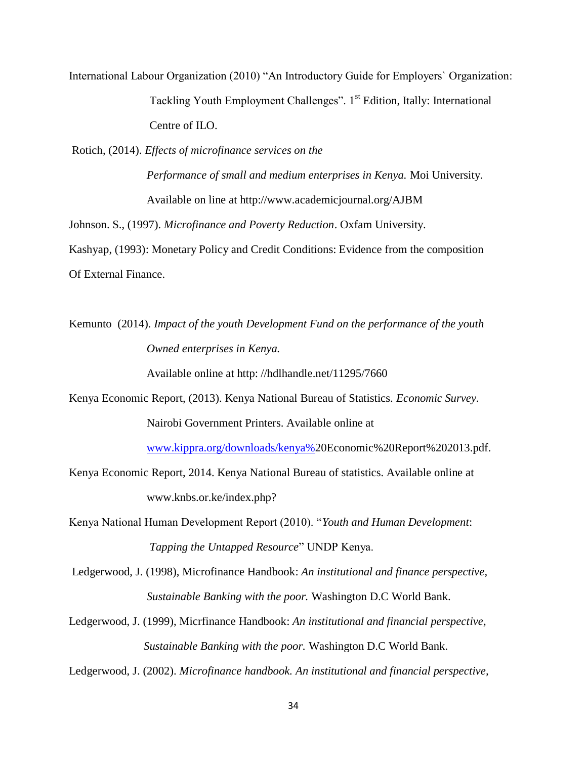International Labour Organization (2010) "An Introductory Guide for Employers` Organization: Tackling Youth Employment Challenges". 1<sup>st</sup> Edition, Itally: International Centre of ILO.

Rotich, (2014). *Effects of microfinance services on the*

 *Performance of small and medium enterprises in Kenya.* Moi University. Available on line at http://www.academicjournal.org/AJBM

Johnson. S., (1997). *Microfinance and Poverty Reduction*. Oxfam University.

Kashyap, (1993): Monetary Policy and Credit Conditions: Evidence from the composition Of External Finance.

Kemunto (2014). *Impact of the youth Development Fund on the performance of the youth Owned enterprises in Kenya.*

Available online at http: //hdlhandle.net/11295/7660

Kenya Economic Report, (2013). Kenya National Bureau of Statistics. *Economic Survey.* Nairobi Government Printers. Available online at

[www.kippra.org/downloads/kenya%2](http://www.kippra.org/downloads/kenya%25)0Economic%20Report%202013.pdf.

Kenya Economic Report, 2014. Kenya National Bureau of statistics. Available online at www.knbs.or.ke/index.php?

Kenya National Human Development Report (2010). "*Youth and Human Development*: *Tapping the Untapped Resource*" UNDP Kenya.

Ledgerwood, J. (1998), Microfinance Handbook: *An institutional and finance perspective, Sustainable Banking with the poor.* Washington D.C World Bank.

Ledgerwood, J. (1999), Micrfinance Handbook: *An institutional and financial perspective, Sustainable Banking with the poor.* Washington D.C World Bank.

Ledgerwood, J. (2002). *Microfinance handbook. An institutional and financial perspective,*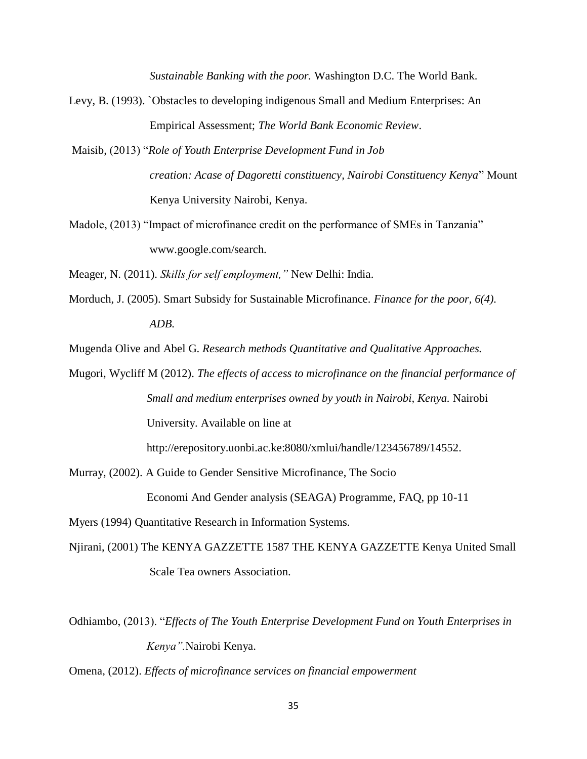*Sustainable Banking with the poor.* Washington D.C. The World Bank.

- Levy, B. (1993). `Obstacles to developing indigenous Small and Medium Enterprises: An Empirical Assessment; *The World Bank Economic Review*.
- Maisib, (2013) "*Role of Youth Enterprise Development Fund in Job creation: Acase of Dagoretti constituency, Nairobi Constituency Kenya*" Mount Kenya University Nairobi, Kenya.
- Madole, (2013) "Impact of microfinance credit on the performance of SMEs in Tanzania" www.google.com/search.

Meager, N. (2011). *Skills for self employment,"* New Delhi: India.

Morduch, J. (2005). Smart Subsidy for Sustainable Microfinance. *Finance for the poor, 6(4). ADB.*

Mugenda Olive and Abel G. *Research methods Quantitative and Qualitative Approaches.*

Mugori, Wycliff M (2012). *The effects of access to microfinance on the financial performance of Small and medium enterprises owned by youth in Nairobi, Kenya.* Nairobi University. Available on line at

http://erepository.uonbi.ac.ke:8080/xmlui/handle/123456789/14552.

Murray, (2002). A Guide to Gender Sensitive Microfinance, The Socio

Economi And Gender analysis (SEAGA) Programme, FAQ, pp 10-11

Myers (1994) Quantitative Research in Information Systems.

Njirani, (2001) The KENYA GAZZETTE 1587 THE KENYA GAZZETTE Kenya United Small Scale Tea owners Association.

Odhiambo, (2013). "*Effects of The Youth Enterprise Development Fund on Youth Enterprises in Kenya".*Nairobi Kenya.

Omena, (2012). *Effects of microfinance services on financial empowerment*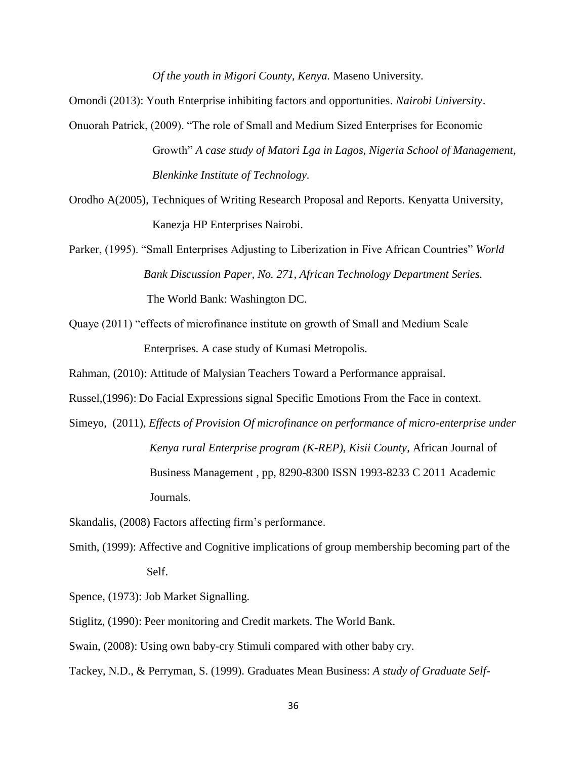*Of the youth in Migori County, Kenya.* Maseno University.

Omondi (2013): Youth Enterprise inhibiting factors and opportunities*. Nairobi University*.

- Onuorah Patrick, (2009). "The role of Small and Medium Sized Enterprises for Economic Growth" *A case study of Matori Lga in Lagos, Nigeria School of Management, Blenkinke Institute of Technology.*
- Orodho A(2005), Techniques of Writing Research Proposal and Reports. Kenyatta University, Kanezja HP Enterprises Nairobi.
- Parker, (1995). "Small Enterprises Adjusting to Liberization in Five African Countries" *World Bank Discussion Paper, No. 271, African Technology Department Series.* The World Bank: Washington DC.
- Quaye (2011) "effects of microfinance institute on growth of Small and Medium Scale Enterprises. A case study of Kumasi Metropolis.

Rahman, (2010): Attitude of Malysian Teachers Toward a Performance appraisal.

Russel,(1996): Do Facial Expressions signal Specific Emotions From the Face in context.

Simeyo, (2011), *Effects of Provision Of microfinance on performance of micro-enterprise under Kenya rural Enterprise program (K-REP), Kisii County*, African Journal of Business Management , pp, 8290-8300 ISSN 1993-8233 C 2011 Academic Journals.

Skandalis, (2008) Factors affecting firm's performance.

Smith, (1999): Affective and Cognitive implications of group membership becoming part of the Self.

Spence, (1973): Job Market Signalling.

Stiglitz, (1990): Peer monitoring and Credit markets. The World Bank.

Swain, (2008): Using own baby-cry Stimuli compared with other baby cry.

Tackey, N.D., & Perryman, S. (1999). Graduates Mean Business: *A study of Graduate Self-*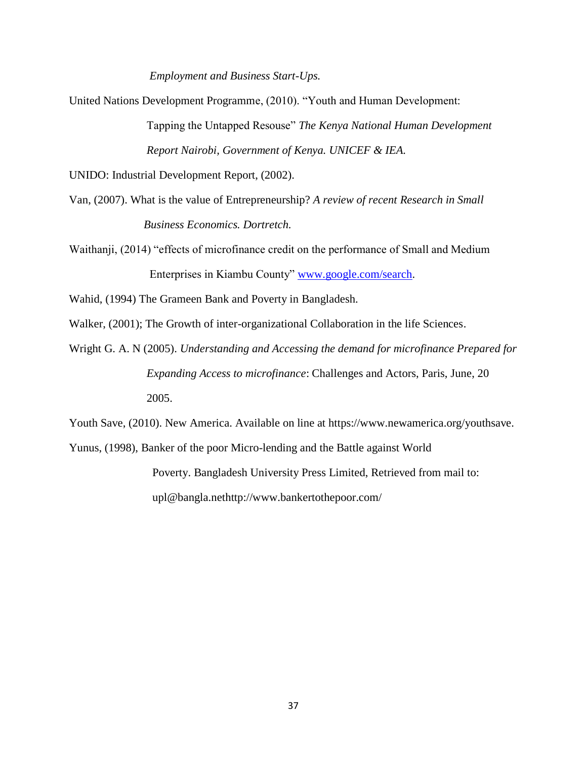*Employment and Business Start-Ups.*

United Nations Development Programme, (2010). "Youth and Human Development:

 Tapping the Untapped Resouse" *The Kenya National Human Development Report Nairobi, Government of Kenya. UNICEF & IEA.*

UNIDO: Industrial Development Report, (2002).

Van, (2007). What is the value of Entrepreneurship? *A review of recent Research in Small Business Economics. Dortretch.*

Waithanji, (2014) "effects of microfinance credit on the performance of Small and Medium Enterprises in Kiambu County" [www.google.com/search.](http://www.google.com/search)

Wahid, (1994) The Grameen Bank and Poverty in Bangladesh.

Walker, (2001); The Growth of inter-organizational Collaboration in the life Sciences.

Wright G. A. N (2005). *Understanding and Accessing the demand for microfinance Prepared for Expanding Access to microfinance*: Challenges and Actors, Paris, June, 20 2005.

Youth Save, (2010). New America. Available on line at https://www.newamerica.org/youthsave.

Yunus, (1998), Banker of the poor Micro-lending and the Battle against World

 Poverty. Bangladesh University Press Limited, Retrieved from mail to: upl@bangla.nethttp://www.bankertothepoor.com/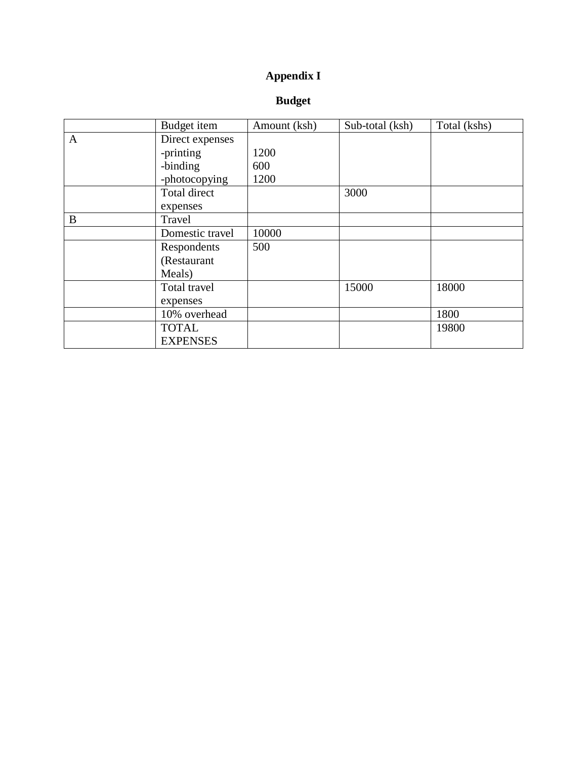# **Appendix I**

# **Budget**

|   | Budget item     | Amount (ksh) | Sub-total (ksh) | Total (kshs) |
|---|-----------------|--------------|-----------------|--------------|
| A | Direct expenses |              |                 |              |
|   | -printing       | 1200         |                 |              |
|   | -binding        | 600          |                 |              |
|   | -photocopying   | 1200         |                 |              |
|   | Total direct    |              | 3000            |              |
|   | expenses        |              |                 |              |
| B | Travel          |              |                 |              |
|   | Domestic travel | 10000        |                 |              |
|   | Respondents     | 500          |                 |              |
|   | (Restaurant     |              |                 |              |
|   | Meals)          |              |                 |              |
|   | Total travel    |              | 15000           | 18000        |
|   | expenses        |              |                 |              |
|   | 10% overhead    |              |                 | 1800         |
|   | <b>TOTAL</b>    |              |                 | 19800        |
|   | <b>EXPENSES</b> |              |                 |              |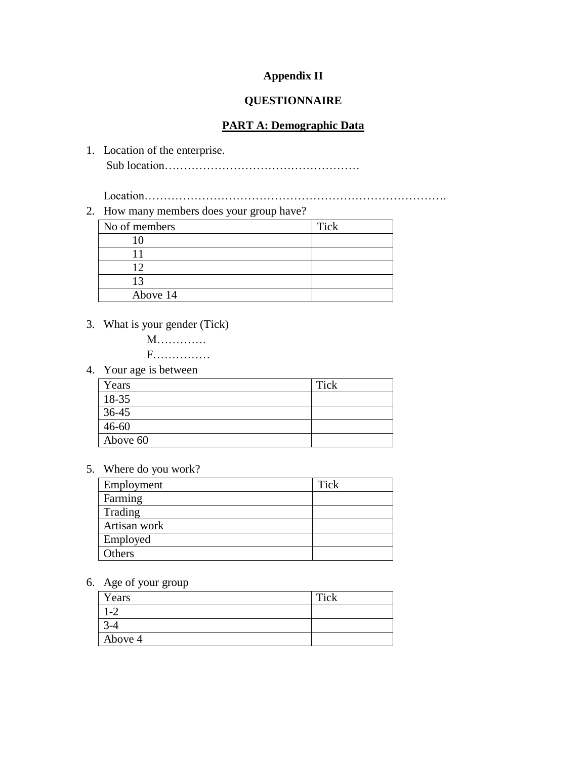# **Appendix II**

## **QUESTIONNAIRE**

#### **PART A: Demographic Data**

1. Location of the enterprise. Sub location……………………………………………

Location…………………………………………………………………….

2. How many members does your group have?

| No of members | Tick |
|---------------|------|
| ١O            |      |
|               |      |
| ി             |      |
| - 3           |      |
| Above 14      |      |

3. What is your gender (Tick)

 M…………. F……………

4. Your age is between

| Years     | Tick |
|-----------|------|
| 18-35     |      |
| 36-45     |      |
| $46 - 60$ |      |
| Above 60  |      |

5. Where do you work?

| Employment   | <b>Tick</b> |
|--------------|-------------|
| Farming      |             |
| Trading      |             |
| Artisan work |             |
| Employed     |             |
| Others       |             |

6. Age of your group

| Years   | Tick |
|---------|------|
| $1 - 2$ |      |
| $3 - 4$ |      |
| Above 4 |      |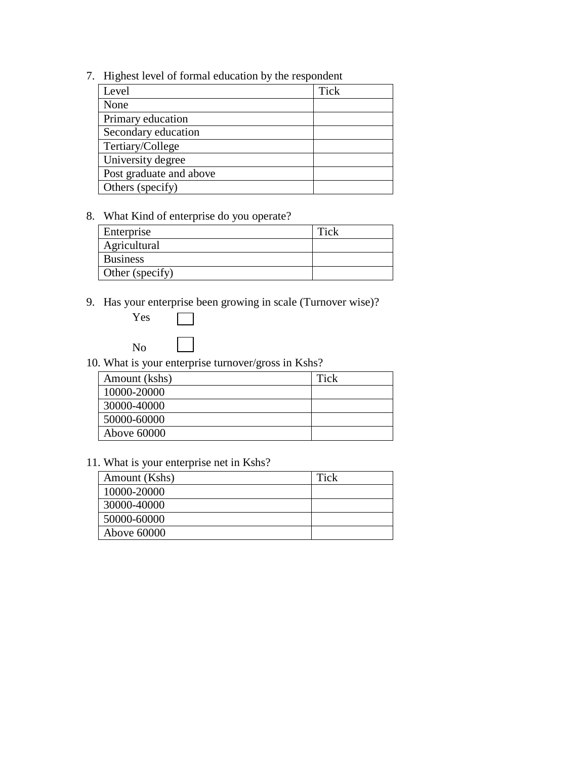7. Highest level of formal education by the respondent

| Level                   | <b>Tick</b> |
|-------------------------|-------------|
| None                    |             |
| Primary education       |             |
| Secondary education     |             |
| Tertiary/College        |             |
| University degree       |             |
| Post graduate and above |             |
| Others (specify)        |             |

# 8. What Kind of enterprise do you operate?

| Enterprise      | Tick |
|-----------------|------|
| Agricultural    |      |
| <b>Business</b> |      |
| Other (specify) |      |

9. Has your enterprise been growing in scale (Turnover wise)?



10. What is your enterprise turnover/gross in Kshs?

| Amount (kshs) | Tick |
|---------------|------|
| 10000-20000   |      |
| 30000-40000   |      |
| 50000-60000   |      |
| Above 60000   |      |

# 11. What is your enterprise net in Kshs?

| Amount (Kshs) | Tick |
|---------------|------|
| 10000-20000   |      |
| 30000-40000   |      |
| 50000-60000   |      |
| Above 60000   |      |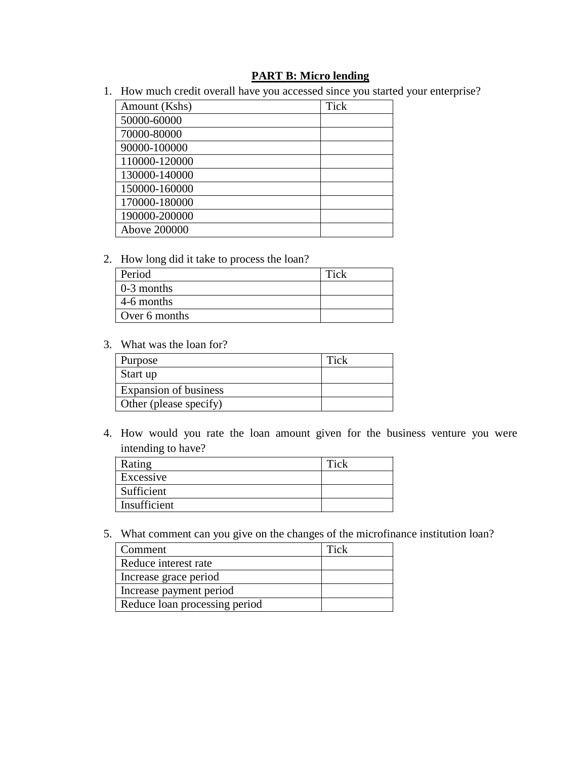## **PART B: Micro lending**

1. How much credit overall have you accessed since you started your enterprise?

| Amount (Kshs) | <b>Tick</b> |
|---------------|-------------|
| 50000-60000   |             |
| 70000-80000   |             |
| 90000-100000  |             |
| 110000-120000 |             |
| 130000-140000 |             |
| 150000-160000 |             |
| 170000-180000 |             |
| 190000-200000 |             |
| Above 200000  |             |

2. How long did it take to process the loan?

| Period             | Tick |
|--------------------|------|
| $\vert$ 0-3 months |      |
| 4-6 months         |      |
| Over 6 months      |      |

3. What was the loan for?

| Purpose                | Tick |
|------------------------|------|
| Start up               |      |
| Expansion of business  |      |
| Other (please specify) |      |

4. How would you rate the loan amount given for the business venture you were intending to have?

| Rating       | Tick |
|--------------|------|
| Excessive    |      |
| Sufficient   |      |
| Insufficient |      |

5. What comment can you give on the changes of the microfinance institution loan?

| Comment                       | Tick |
|-------------------------------|------|
| Reduce interest rate          |      |
| Increase grace period         |      |
| Increase payment period       |      |
| Reduce loan processing period |      |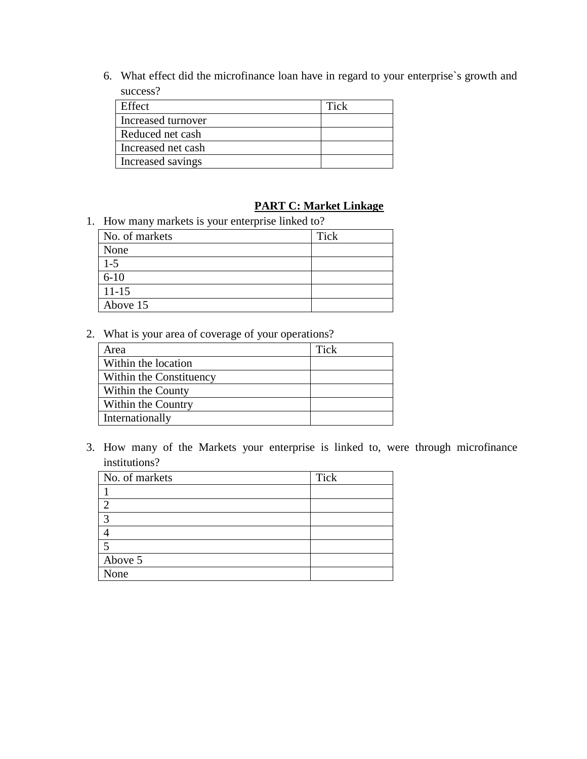6. What effect did the microfinance loan have in regard to your enterprise`s growth and success?

| Effect             | Tick |
|--------------------|------|
| Increased turnover |      |
| Reduced net cash   |      |
| Increased net cash |      |
| Increased savings  |      |

# **PART C: Market Linkage**

1. How many markets is your enterprise linked to?

| No. of markets | Tick |
|----------------|------|
| None           |      |
| $1 - 5$        |      |
| $6 - 10$       |      |
| $11 - 15$      |      |
| Above 15       |      |

2. What is your area of coverage of your operations?

| Area                    | Tick |
|-------------------------|------|
| Within the location     |      |
| Within the Constituency |      |
| Within the County       |      |
| Within the Country      |      |
| Internationally         |      |

3. How many of the Markets your enterprise is linked to, were through microfinance institutions?

| No. of markets | Tick |
|----------------|------|
|                |      |
| $\overline{2}$ |      |
| 3              |      |
|                |      |
| -5             |      |
| Above 5        |      |
| None           |      |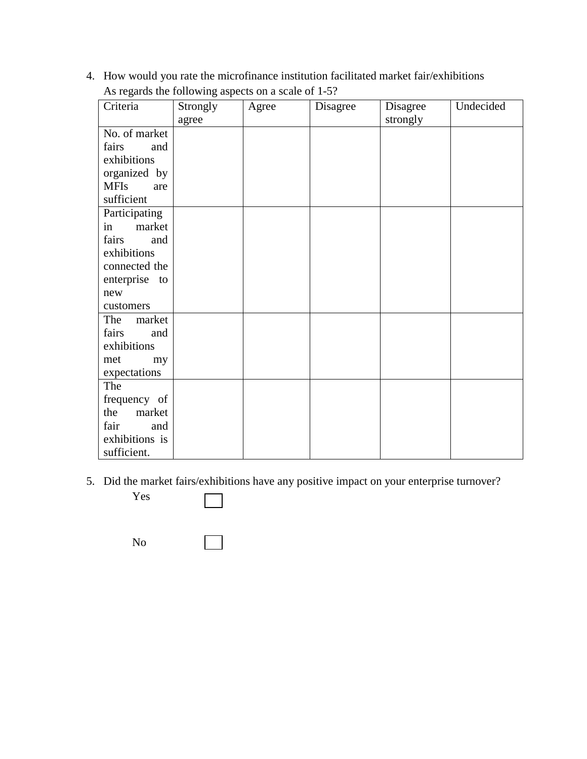4. How would you rate the microfinance institution facilitated market fair/exhibitions As regards the following aspects on a scale of 1-5?

| Criteria           | Strongly | Agree | Disagree | Disagree | Undecided |
|--------------------|----------|-------|----------|----------|-----------|
|                    | agree    |       |          | strongly |           |
| No. of market      |          |       |          |          |           |
| fairs<br>and       |          |       |          |          |           |
| exhibitions        |          |       |          |          |           |
| organized by       |          |       |          |          |           |
| <b>MFIs</b><br>are |          |       |          |          |           |
| sufficient         |          |       |          |          |           |
| Participating      |          |       |          |          |           |
| market<br>in       |          |       |          |          |           |
| fairs<br>and       |          |       |          |          |           |
| exhibitions        |          |       |          |          |           |
| connected the      |          |       |          |          |           |
| enterprise to      |          |       |          |          |           |
| new                |          |       |          |          |           |
| customers          |          |       |          |          |           |
| The<br>market      |          |       |          |          |           |
| fairs<br>and       |          |       |          |          |           |
| exhibitions        |          |       |          |          |           |
| met<br>my          |          |       |          |          |           |
| expectations       |          |       |          |          |           |
| The                |          |       |          |          |           |
| frequency of       |          |       |          |          |           |
| market<br>the      |          |       |          |          |           |
| fair<br>and        |          |       |          |          |           |
| exhibitions is     |          |       |          |          |           |
| sufficient.        |          |       |          |          |           |

5. Did the market fairs/exhibitions have any positive impact on your enterprise turnover?

Yes

No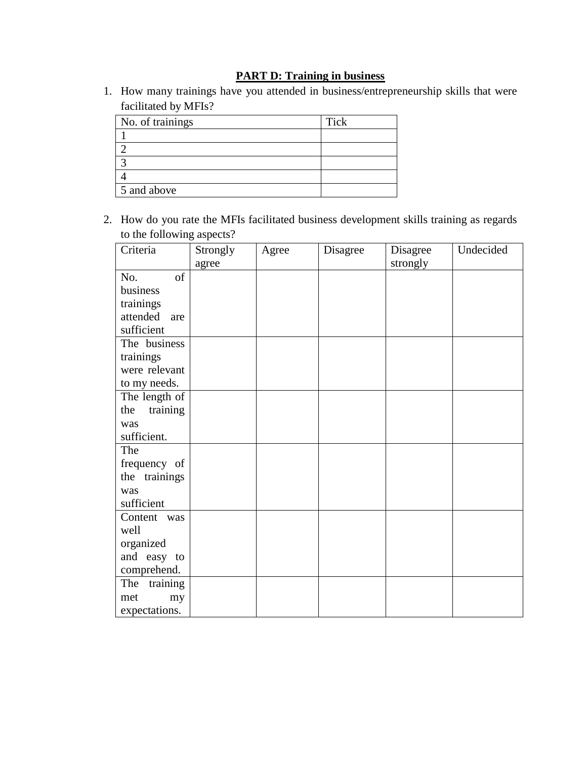# **PART D: Training in business**

1. How many trainings have you attended in business/entrepreneurship skills that were facilitated by MFIs?

| No. of trainings | Tick |
|------------------|------|
|                  |      |
|                  |      |
|                  |      |
|                  |      |
| 5 and above      |      |

2. How do you rate the MFIs facilitated business development skills training as regards to the following aspects?

| Criteria        | Strongly | Agree | Disagree | Disagree | Undecided |
|-----------------|----------|-------|----------|----------|-----------|
|                 | agree    |       |          | strongly |           |
| of<br>No.       |          |       |          |          |           |
| business        |          |       |          |          |           |
| trainings       |          |       |          |          |           |
| attended are    |          |       |          |          |           |
| sufficient      |          |       |          |          |           |
| The business    |          |       |          |          |           |
| trainings       |          |       |          |          |           |
| were relevant   |          |       |          |          |           |
| to my needs.    |          |       |          |          |           |
| The length of   |          |       |          |          |           |
| training<br>the |          |       |          |          |           |
| was             |          |       |          |          |           |
| sufficient.     |          |       |          |          |           |
| The             |          |       |          |          |           |
| frequency of    |          |       |          |          |           |
| the trainings   |          |       |          |          |           |
| was             |          |       |          |          |           |
| sufficient      |          |       |          |          |           |
| Content was     |          |       |          |          |           |
| well            |          |       |          |          |           |
| organized       |          |       |          |          |           |
| and easy to     |          |       |          |          |           |
| comprehend.     |          |       |          |          |           |
| The<br>training |          |       |          |          |           |
| met<br>my       |          |       |          |          |           |
| expectations.   |          |       |          |          |           |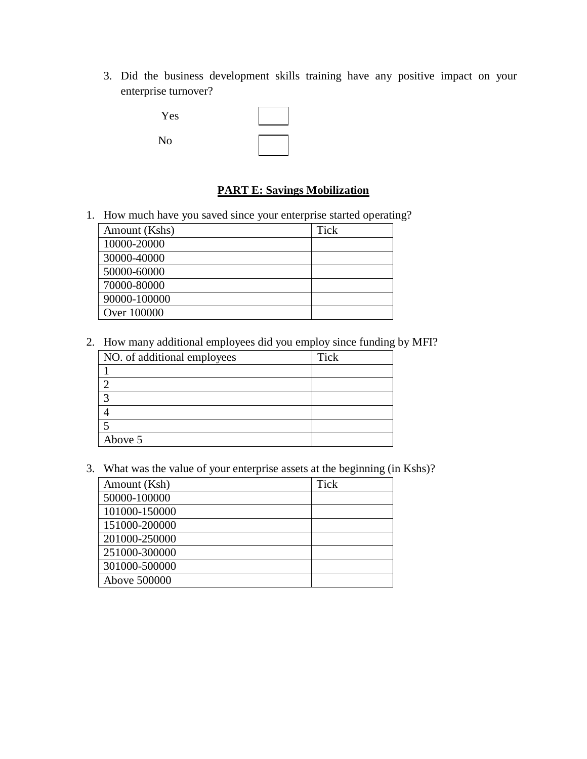3. Did the business development skills training have any positive impact on your enterprise turnover?

| Yes |  |
|-----|--|
| No  |  |

## **PART E: Savings Mobilization**

1. How much have you saved since your enterprise started operating?

| Amount (Kshs) | Tick |
|---------------|------|
| 10000-20000   |      |
| 30000-40000   |      |
| 50000-60000   |      |
| 70000-80000   |      |
| 90000-100000  |      |
| Over 100000   |      |

2. How many additional employees did you employ since funding by MFI?

| NO. of additional employees | Tick |
|-----------------------------|------|
|                             |      |
|                             |      |
|                             |      |
|                             |      |
|                             |      |
| Above 5                     |      |

3. What was the value of your enterprise assets at the beginning (in Kshs)?

| Amount (Ksh)  | <b>Tick</b> |
|---------------|-------------|
| 50000-100000  |             |
| 101000-150000 |             |
| 151000-200000 |             |
| 201000-250000 |             |
| 251000-300000 |             |
| 301000-500000 |             |
| Above 500000  |             |